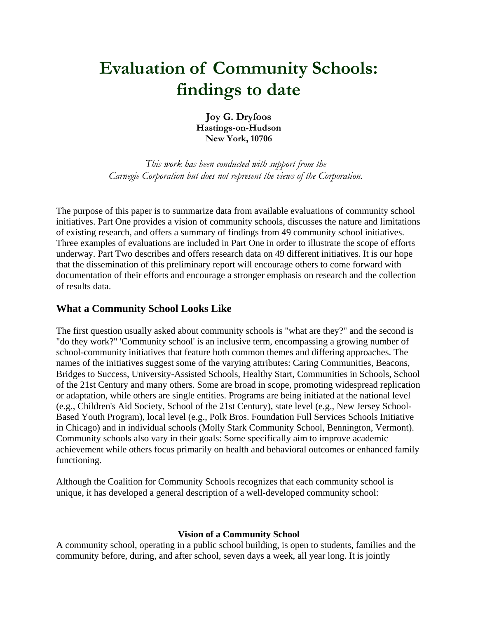# **Evaluation of Community Schools: findings to date**

**Joy G. Dryfoos Hastings-on-Hudson New York, 10706**

*This work has been conducted with support from the Carnegie Corporation but does not represent the views of the Corporation.*

The purpose of this paper is to summarize data from available evaluations of community school initiatives. Part One provides a vision of community schools, discusses the nature and limitations of existing research, and offers a summary of findings from 49 community school initiatives. Three examples of evaluations are included in Part One in order to illustrate the scope of efforts underway. Part Two describes and offers research data on 49 different initiatives. It is our hope that the dissemination of this preliminary report will encourage others to come forward with documentation of their efforts and encourage a stronger emphasis on research and the collection of results data.

# **What a Community School Looks Like**

The first question usually asked about community schools is "what are they?" and the second is "do they work?" 'Community school' is an inclusive term, encompassing a growing number of school-community initiatives that feature both common themes and differing approaches. The names of the initiatives suggest some of the varying attributes: Caring Communities, Beacons, Bridges to Success, University-Assisted Schools, Healthy Start, Communities in Schools, School of the 21st Century and many others. Some are broad in scope, promoting widespread replication or adaptation, while others are single entities. Programs are being initiated at the national level (e.g., Children's Aid Society, School of the 21st Century), state level (e.g., New Jersey School-Based Youth Program), local level (e.g., Polk Bros. Foundation Full Services Schools Initiative in Chicago) and in individual schools (Molly Stark Community School, Bennington, Vermont). Community schools also vary in their goals: Some specifically aim to improve academic achievement while others focus primarily on health and behavioral outcomes or enhanced family functioning.

Although the Coalition for Community Schools recognizes that each community school is unique, it has developed a general description of a well-developed community school:

#### **Vision of a Community School**

A community school, operating in a public school building, is open to students, families and the community before, during, and after school, seven days a week, all year long. It is jointly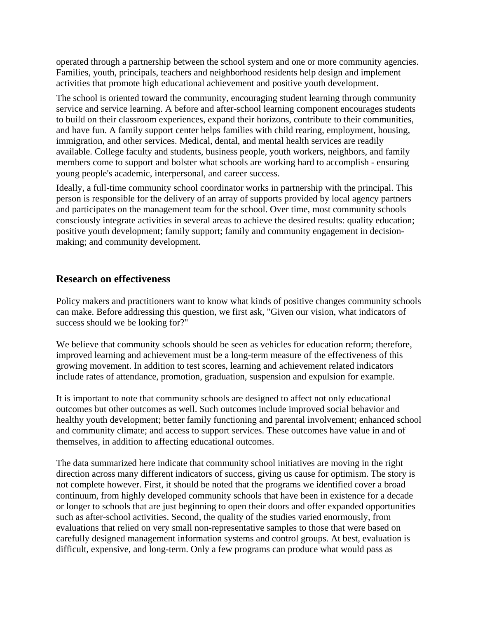operated through a partnership between the school system and one or more community agencies. Families, youth, principals, teachers and neighborhood residents help design and implement activities that promote high educational achievement and positive youth development.

The school is oriented toward the community, encouraging student learning through community service and service learning. A before and after-school learning component encourages students to build on their classroom experiences, expand their horizons, contribute to their communities, and have fun. A family support center helps families with child rearing, employment, housing, immigration, and other services. Medical, dental, and mental health services are readily available. College faculty and students, business people, youth workers, neighbors, and family members come to support and bolster what schools are working hard to accomplish - ensuring young people's academic, interpersonal, and career success.

Ideally, a full-time community school coordinator works in partnership with the principal. This person is responsible for the delivery of an array of supports provided by local agency partners and participates on the management team for the school. Over time, most community schools consciously integrate activities in several areas to achieve the desired results: quality education; positive youth development; family support; family and community engagement in decisionmaking; and community development.

# **Research on effectiveness**

Policy makers and practitioners want to know what kinds of positive changes community schools can make. Before addressing this question, we first ask, "Given our vision, what indicators of success should we be looking for?"

We believe that community schools should be seen as vehicles for education reform; therefore, improved learning and achievement must be a long-term measure of the effectiveness of this growing movement. In addition to test scores, learning and achievement related indicators include rates of attendance, promotion, graduation, suspension and expulsion for example.

It is important to note that community schools are designed to affect not only educational outcomes but other outcomes as well. Such outcomes include improved social behavior and healthy youth development; better family functioning and parental involvement; enhanced school and community climate; and access to support services. These outcomes have value in and of themselves, in addition to affecting educational outcomes.

The data summarized here indicate that community school initiatives are moving in the right direction across many different indicators of success, giving us cause for optimism. The story is not complete however. First, it should be noted that the programs we identified cover a broad continuum, from highly developed community schools that have been in existence for a decade or longer to schools that are just beginning to open their doors and offer expanded opportunities such as after-school activities. Second, the quality of the studies varied enormously, from evaluations that relied on very small non-representative samples to those that were based on carefully designed management information systems and control groups. At best, evaluation is difficult, expensive, and long-term. Only a few programs can produce what would pass as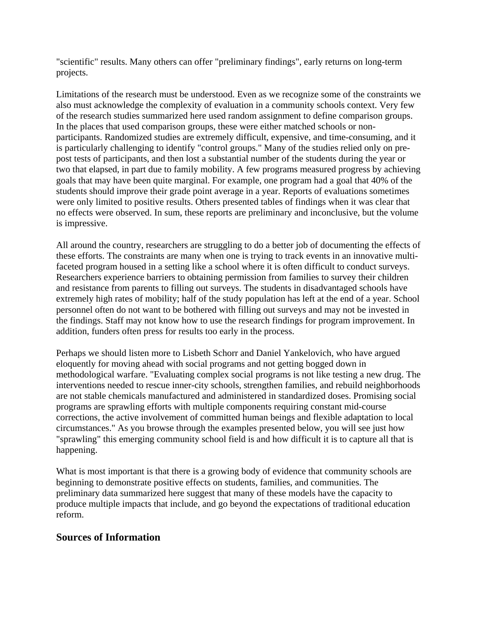"scientific" results. Many others can offer "preliminary findings", early returns on long-term projects.

Limitations of the research must be understood. Even as we recognize some of the constraints we also must acknowledge the complexity of evaluation in a community schools context. Very few of the research studies summarized here used random assignment to define comparison groups. In the places that used comparison groups, these were either matched schools or nonparticipants. Randomized studies are extremely difficult, expensive, and time-consuming, and it is particularly challenging to identify "control groups." Many of the studies relied only on prepost tests of participants, and then lost a substantial number of the students during the year or two that elapsed, in part due to family mobility. A few programs measured progress by achieving goals that may have been quite marginal. For example, one program had a goal that 40% of the students should improve their grade point average in a year. Reports of evaluations sometimes were only limited to positive results. Others presented tables of findings when it was clear that no effects were observed. In sum, these reports are preliminary and inconclusive, but the volume is impressive.

All around the country, researchers are struggling to do a better job of documenting the effects of these efforts. The constraints are many when one is trying to track events in an innovative multifaceted program housed in a setting like a school where it is often difficult to conduct surveys. Researchers experience barriers to obtaining permission from families to survey their children and resistance from parents to filling out surveys. The students in disadvantaged schools have extremely high rates of mobility; half of the study population has left at the end of a year. School personnel often do not want to be bothered with filling out surveys and may not be invested in the findings. Staff may not know how to use the research findings for program improvement. In addition, funders often press for results too early in the process.

Perhaps we should listen more to Lisbeth Schorr and Daniel Yankelovich, who have argued eloquently for moving ahead with social programs and not getting bogged down in methodological warfare. "Evaluating complex social programs is not like testing a new drug. The interventions needed to rescue inner-city schools, strengthen families, and rebuild neighborhoods are not stable chemicals manufactured and administered in standardized doses. Promising social programs are sprawling efforts with multiple components requiring constant mid-course corrections, the active involvement of committed human beings and flexible adaptation to local circumstances." As you browse through the examples presented below, you will see just how "sprawling" this emerging community school field is and how difficult it is to capture all that is happening.

What is most important is that there is a growing body of evidence that community schools are beginning to demonstrate positive effects on students, families, and communities. The preliminary data summarized here suggest that many of these models have the capacity to produce multiple impacts that include, and go beyond the expectations of traditional education reform.

# **Sources of Information**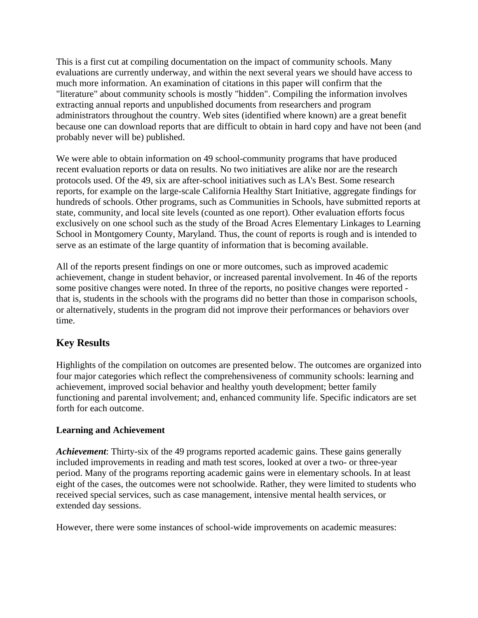This is a first cut at compiling documentation on the impact of community schools. Many evaluations are currently underway, and within the next several years we should have access to much more information. An examination of citations in this paper will confirm that the "literature" about community schools is mostly "hidden". Compiling the information involves extracting annual reports and unpublished documents from researchers and program administrators throughout the country. Web sites (identified where known) are a great benefit because one can download reports that are difficult to obtain in hard copy and have not been (and probably never will be) published.

We were able to obtain information on 49 school-community programs that have produced recent evaluation reports or data on results. No two initiatives are alike nor are the research protocols used. Of the 49, six are after-school initiatives such as LA's Best. Some research reports, for example on the large-scale California Healthy Start Initiative, aggregate findings for hundreds of schools. Other programs, such as Communities in Schools, have submitted reports at state, community, and local site levels (counted as one report). Other evaluation efforts focus exclusively on one school such as the study of the Broad Acres Elementary Linkages to Learning School in Montgomery County, Maryland. Thus, the count of reports is rough and is intended to serve as an estimate of the large quantity of information that is becoming available.

All of the reports present findings on one or more outcomes, such as improved academic achievement, change in student behavior, or increased parental involvement. In 46 of the reports some positive changes were noted. In three of the reports, no positive changes were reported that is, students in the schools with the programs did no better than those in comparison schools, or alternatively, students in the program did not improve their performances or behaviors over time.

# **Key Results**

Highlights of the compilation on outcomes are presented below. The outcomes are organized into four major categories which reflect the comprehensiveness of community schools: learning and achievement, improved social behavior and healthy youth development; better family functioning and parental involvement; and, enhanced community life. Specific indicators are set forth for each outcome.

# **Learning and Achievement**

*Achievement*: Thirty-six of the 49 programs reported academic gains. These gains generally included improvements in reading and math test scores, looked at over a two- or three-year period. Many of the programs reporting academic gains were in elementary schools. In at least eight of the cases, the outcomes were not schoolwide. Rather, they were limited to students who received special services, such as case management, intensive mental health services, or extended day sessions.

However, there were some instances of school-wide improvements on academic measures: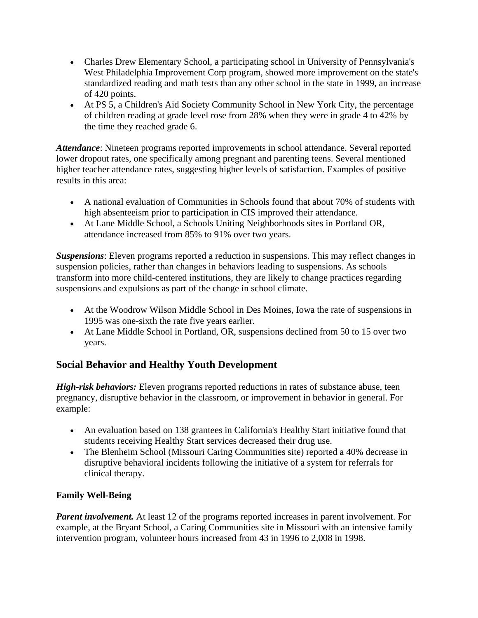- Charles Drew Elementary School, a participating school in University of Pennsylvania's West Philadelphia Improvement Corp program, showed more improvement on the state's standardized reading and math tests than any other school in the state in 1999, an increase of 420 points.
- At PS 5, a Children's Aid Society Community School in New York City, the percentage of children reading at grade level rose from 28% when they were in grade 4 to 42% by the time they reached grade 6.

*Attendance*: Nineteen programs reported improvements in school attendance. Several reported lower dropout rates, one specifically among pregnant and parenting teens. Several mentioned higher teacher attendance rates, suggesting higher levels of satisfaction. Examples of positive results in this area:

- A national evaluation of Communities in Schools found that about 70% of students with high absenteeism prior to participation in CIS improved their attendance.
- At Lane Middle School, a Schools Uniting Neighborhoods sites in Portland OR, attendance increased from 85% to 91% over two years.

*Suspensions*: Eleven programs reported a reduction in suspensions. This may reflect changes in suspension policies, rather than changes in behaviors leading to suspensions. As schools transform into more child-centered institutions, they are likely to change practices regarding suspensions and expulsions as part of the change in school climate.

- At the Woodrow Wilson Middle School in Des Moines, Iowa the rate of suspensions in 1995 was one-sixth the rate five years earlier.
- At Lane Middle School in Portland, OR, suspensions declined from 50 to 15 over two years.

# **Social Behavior and Healthy Youth Development**

*High-risk behaviors:* Eleven programs reported reductions in rates of substance abuse, teen pregnancy, disruptive behavior in the classroom, or improvement in behavior in general. For example:

- An evaluation based on 138 grantees in California's Healthy Start initiative found that students receiving Healthy Start services decreased their drug use.
- The Blenheim School (Missouri Caring Communities site) reported a 40% decrease in disruptive behavioral incidents following the initiative of a system for referrals for clinical therapy.

# **Family Well-Being**

*Parent involvement.* At least 12 of the programs reported increases in parent involvement. For example, at the Bryant School, a Caring Communities site in Missouri with an intensive family intervention program, volunteer hours increased from 43 in 1996 to 2,008 in 1998.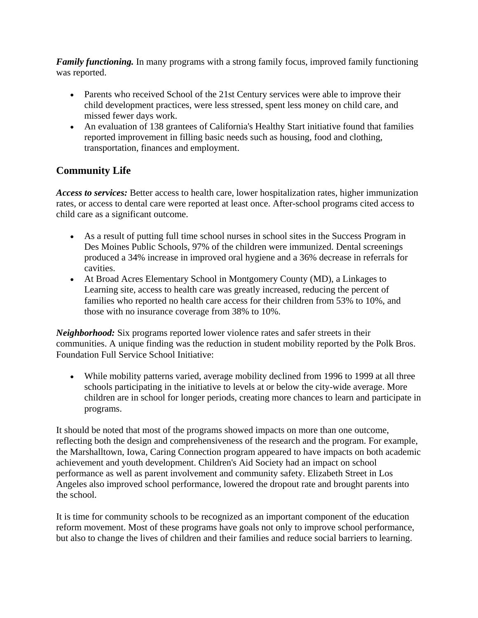*Family functioning.* In many programs with a strong family focus, improved family functioning was reported.

- Parents who received School of the 21st Century services were able to improve their child development practices, were less stressed, spent less money on child care, and missed fewer days work.
- An evaluation of 138 grantees of California's Healthy Start initiative found that families reported improvement in filling basic needs such as housing, food and clothing, transportation, finances and employment.

# **Community Life**

*Access to services:* Better access to health care, lower hospitalization rates, higher immunization rates, or access to dental care were reported at least once. After-school programs cited access to child care as a significant outcome.

- As a result of putting full time school nurses in school sites in the Success Program in Des Moines Public Schools, 97% of the children were immunized. Dental screenings produced a 34% increase in improved oral hygiene and a 36% decrease in referrals for cavities.
- At Broad Acres Elementary School in Montgomery County (MD), a Linkages to Learning site, access to health care was greatly increased, reducing the percent of families who reported no health care access for their children from 53% to 10%, and those with no insurance coverage from 38% to 10%.

*Neighborhood:* Six programs reported lower violence rates and safer streets in their communities. A unique finding was the reduction in student mobility reported by the Polk Bros. Foundation Full Service School Initiative:

• While mobility patterns varied, average mobility declined from 1996 to 1999 at all three schools participating in the initiative to levels at or below the city-wide average. More children are in school for longer periods, creating more chances to learn and participate in programs.

It should be noted that most of the programs showed impacts on more than one outcome, reflecting both the design and comprehensiveness of the research and the program. For example, the Marshalltown, Iowa, Caring Connection program appeared to have impacts on both academic achievement and youth development. Children's Aid Society had an impact on school performance as well as parent involvement and community safety. Elizabeth Street in Los Angeles also improved school performance, lowered the dropout rate and brought parents into the school.

It is time for community schools to be recognized as an important component of the education reform movement. Most of these programs have goals not only to improve school performance, but also to change the lives of children and their families and reduce social barriers to learning.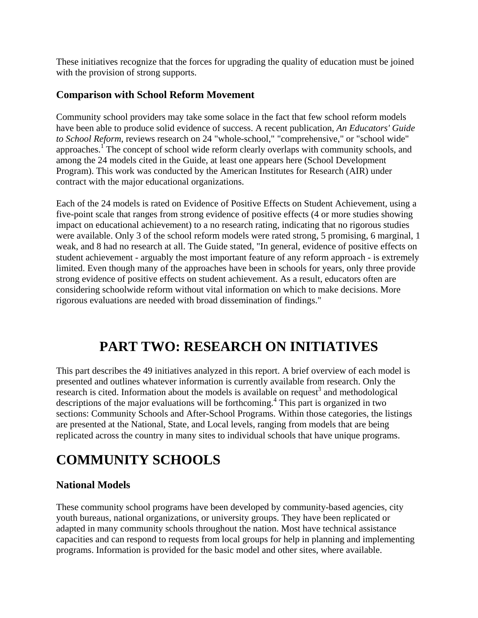These initiatives recognize that the forces for upgrading the quality of education must be joined with the provision of strong supports.

# **Comparison with School Reform Movement**

Community school providers may take some solace in the fact that few school reform models have been able to produce solid evidence of success. A recent publication, *An Educators' Guide to School Reform*, reviews research on 24 "whole-school," "comprehensive," or "school wide" approaches.<sup>I</sup> The concept of school wide reform clearly overlaps with community schools, and among the 24 models cited in the Guide, at least one appears here (School Development Program). This work was conducted by the American Institutes for Research (AIR) under contract with the major educational organizations.

Each of the 24 models is rated on Evidence of Positive Effects on Student Achievement, using a five-point scale that ranges from strong evidence of positive effects (4 or more studies showing impact on educational achievement) to a no research rating, indicating that no rigorous studies were available. Only 3 of the school reform models were rated strong, 5 promising, 6 marginal, 1 weak, and 8 had no research at all. The Guide stated, "In general, evidence of positive effects on student achievement - arguably the most important feature of any reform approach - is extremely limited. Even though many of the approaches have been in schools for years, only three provide strong evidence of positive effects on student achievement. As a result, educators often are considering schoolwide reform without vital information on which to make decisions. More rigorous evaluations are needed with broad dissemination of findings."

# **PART TWO: RESEARCH ON INITIATIVES**

This part describes the 49 initiatives analyzed in this report. A brief overview of each model is presented and outlines whatever information is currently available from research. Only the research is cited. Information about the models is available on request<sup>3</sup> and methodological descriptions of the major evaluations will be forthcoming.<sup>4</sup> This part is organized in two sections: Community Schools and After-School Programs. Within those categories, the listings are presented at the National, State, and Local levels, ranging from models that are being replicated across the country in many sites to individual schools that have unique programs.

# **COMMUNITY SCHOOLS**

# **National Models**

These community school programs have been developed by community-based agencies, city youth bureaus, national organizations, or university groups. They have been replicated or adapted in many community schools throughout the nation. Most have technical assistance capacities and can respond to requests from local groups for help in planning and implementing programs. Information is provided for the basic model and other sites, where available.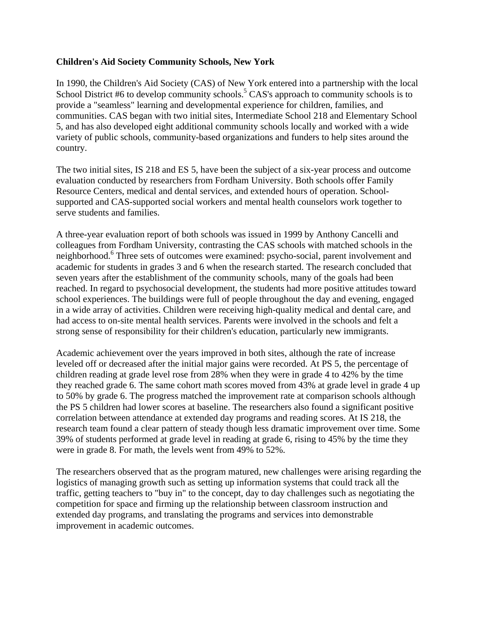#### **Children's Aid Society Community Schools, New York**

In 1990, the Children's Aid Society (CAS) of New York entered into a partnership with the local School District #6 to develop community schools.<sup>5</sup> CAS's approach to community schools is to provide a "seamless" learning and developmental experience for children, families, and communities. CAS began with two initial sites, Intermediate School 218 and Elementary School 5, and has also developed eight additional community schools locally and worked with a wide variety of public schools, community-based organizations and funders to help sites around the country.

The two initial sites, IS 218 and ES 5, have been the subject of a six-year process and outcome evaluation conducted by researchers from Fordham University. Both schools offer Family Resource Centers, medical and dental services, and extended hours of operation. Schoolsupported and CAS-supported social workers and mental health counselors work together to serve students and families.

A three-year evaluation report of both schools was issued in 1999 by Anthony Cancelli and colleagues from Fordham University, contrasting the CAS schools with matched schools in the neighborhood.<sup>6</sup> Three sets of outcomes were examined: psycho-social, parent involvement and academic for students in grades 3 and 6 when the research started. The research concluded that seven years after the establishment of the community schools, many of the goals had been reached. In regard to psychosocial development, the students had more positive attitudes toward school experiences. The buildings were full of people throughout the day and evening, engaged in a wide array of activities. Children were receiving high-quality medical and dental care, and had access to on-site mental health services. Parents were involved in the schools and felt a strong sense of responsibility for their children's education, particularly new immigrants.

Academic achievement over the years improved in both sites, although the rate of increase leveled off or decreased after the initial major gains were recorded. At PS 5, the percentage of children reading at grade level rose from 28% when they were in grade 4 to 42% by the time they reached grade 6. The same cohort math scores moved from 43% at grade level in grade 4 up to 50% by grade 6. The progress matched the improvement rate at comparison schools although the PS 5 children had lower scores at baseline. The researchers also found a significant positive correlation between attendance at extended day programs and reading scores. At IS 218, the research team found a clear pattern of steady though less dramatic improvement over time. Some 39% of students performed at grade level in reading at grade 6, rising to 45% by the time they were in grade 8. For math, the levels went from 49% to 52%.

The researchers observed that as the program matured, new challenges were arising regarding the logistics of managing growth such as setting up information systems that could track all the traffic, getting teachers to "buy in" to the concept, day to day challenges such as negotiating the competition for space and firming up the relationship between classroom instruction and extended day programs, and translating the programs and services into demonstrable improvement in academic outcomes.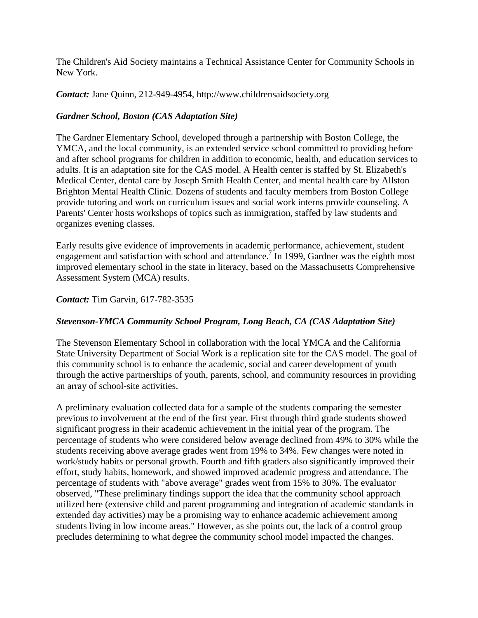The Children's Aid Society maintains a Technical Assistance Center for Community Schools in New York.

*Contact:* Jane Quinn, 212-949-4954, http://www.childrensaidsociety.org

# *Gardner School, Boston (CAS Adaptation Site)*

The Gardner Elementary School, developed through a partnership with Boston College, the YMCA, and the local community, is an extended service school committed to providing before and after school programs for children in addition to economic, health, and education services to adults. It is an adaptation site for the CAS model. A Health center is staffed by St. Elizabeth's Medical Center, dental care by Joseph Smith Health Center, and mental health care by Allston Brighton Mental Health Clinic. Dozens of students and faculty members from Boston College provide tutoring and work on curriculum issues and social work interns provide counseling. A Parents' Center hosts workshops of topics such as immigration, staffed by law students and organizes evening classes.

Early results give evidence of improvements in academic performance, achievement, student engagement and satisfaction with school and attendance.<sup>7</sup> In 1999, Gardner was the eighth most improved elementary school in the state in literacy, based on the Massachusetts Comprehensive Assessment System (MCA) results.

#### *Contact:* Tim Garvin, 617-782-3535

# *Stevenson-YMCA Community School Program, Long Beach, CA (CAS Adaptation Site)*

The Stevenson Elementary School in collaboration with the local YMCA and the California State University Department of Social Work is a replication site for the CAS model. The goal of this community school is to enhance the academic, social and career development of youth through the active partnerships of youth, parents, school, and community resources in providing an array of school-site activities.

A preliminary evaluation collected data for a sample of the students comparing the semester previous to involvement at the end of the first year. First through third grade students showed significant progress in their academic achievement in the initial year of the program. The percentage of students who were considered below average declined from 49% to 30% while the students receiving above average grades went from 19% to 34%. Few changes were noted in work/study habits or personal growth. Fourth and fifth graders also significantly improved their effort, study habits, homework, and showed improved academic progress and attendance. The percentage of students with "above average" grades went from 15% to 30%. The evaluator observed, "These preliminary findings support the idea that the community school approach utilized here (extensive child and parent programming and integration of academic standards in extended day activities) may be a promising way to enhance academic achievement among students living in low income areas." However, as she points out, the lack of a control group precludes determining to what degree the community school model impacted the changes.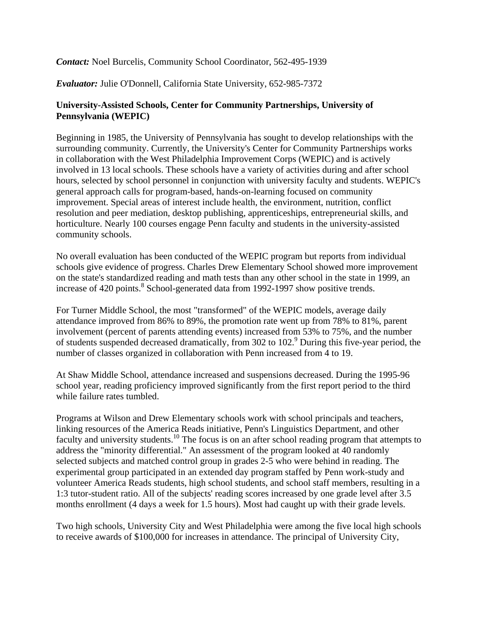### *Contact:* Noel Burcelis, Community School Coordinator, 562-495-1939

#### *Evaluator:* Julie O'Donnell, California State University, 652-985-7372

### **University-Assisted Schools, Center for Community Partnerships, University of Pennsylvania (WEPIC)**

Beginning in 1985, the University of Pennsylvania has sought to develop relationships with the surrounding community. Currently, the University's Center for Community Partnerships works in collaboration with the West Philadelphia Improvement Corps (WEPIC) and is actively involved in 13 local schools. These schools have a variety of activities during and after school hours, selected by school personnel in conjunction with university faculty and students. WEPIC's general approach calls for program-based, hands-on-learning focused on community improvement. Special areas of interest include health, the environment, nutrition, conflict resolution and peer mediation, desktop publishing, apprenticeships, entrepreneurial skills, and horticulture. Nearly 100 courses engage Penn faculty and students in the university-assisted community schools.

No overall evaluation has been conducted of the WEPIC program but reports from individual schools give evidence of progress. Charles Drew Elementary School showed more improvement on the state's standardized reading and math tests than any other school in the state in 1999, an increase of 420 points.<sup>8</sup> School-generated data from 1992-1997 show positive trends.

For Turner Middle School, the most "transformed" of the WEPIC models, average daily attendance improved from 86% to 89%, the promotion rate went up from 78% to 81%, parent involvement (percent of parents attending events) increased from 53% to 75%, and the number of students suspended decreased dramatically, from 302 to 102.<sup>9</sup> During this five-year period, the number of classes organized in collaboration with Penn increased from 4 to 19.

At Shaw Middle School, attendance increased and suspensions decreased. During the 1995-96 school year, reading proficiency improved significantly from the first report period to the third while failure rates tumbled.

Programs at Wilson and Drew Elementary schools work with school principals and teachers, linking resources of the America Reads initiative, Penn's Linguistics Department, and other faculty and university students.<sup>10</sup> The focus is on an after school reading program that attempts to address the "minority differential." An assessment of the program looked at 40 randomly selected subjects and matched control group in grades 2-5 who were behind in reading. The experimental group participated in an extended day program staffed by Penn work-study and volunteer America Reads students, high school students, and school staff members, resulting in a 1:3 tutor-student ratio. All of the subjects' reading scores increased by one grade level after 3.5 months enrollment (4 days a week for 1.5 hours). Most had caught up with their grade levels.

Two high schools, University City and West Philadelphia were among the five local high schools to receive awards of \$100,000 for increases in attendance. The principal of University City,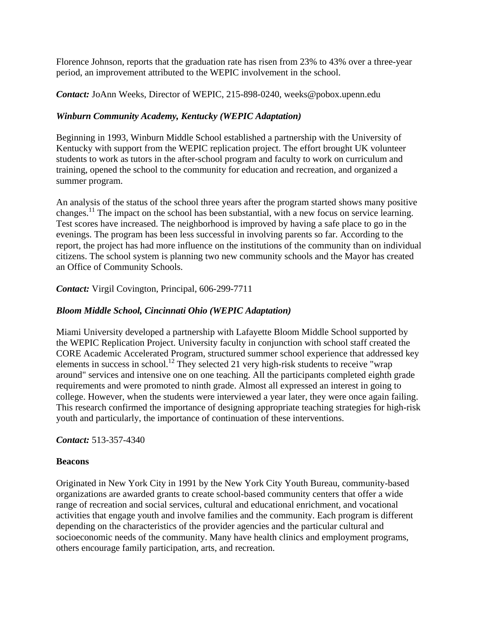Florence Johnson, reports that the graduation rate has risen from 23% to 43% over a three-year period, an improvement attributed to the WEPIC involvement in the school.

*Contact:* JoAnn Weeks, Director of WEPIC, 215-898-0240, weeks@pobox.upenn.edu

# *Winburn Community Academy, Kentucky (WEPIC Adaptation)*

Beginning in 1993, Winburn Middle School established a partnership with the University of Kentucky with support from the WEPIC replication project. The effort brought UK volunteer students to work as tutors in the after-school program and faculty to work on curriculum and training, opened the school to the community for education and recreation, and organized a summer program.

An analysis of the status of the school three years after the program started shows many positive changes.<sup>11</sup> The impact on the school has been substantial, with a new focus on service learning. Test scores have increased. The neighborhood is improved by having a safe place to go in the evenings. The program has been less successful in involving parents so far. According to the report, the project has had more influence on the institutions of the community than on individual citizens. The school system is planning two new community schools and the Mayor has created an Office of Community Schools.

*Contact:* Virgil Covington, Principal, 606-299-7711

# *Bloom Middle School, Cincinnati Ohio (WEPIC Adaptation)*

Miami University developed a partnership with Lafayette Bloom Middle School supported by the WEPIC Replication Project. University faculty in conjunction with school staff created the CORE Academic Accelerated Program, structured summer school experience that addressed key elements in success in school.<sup>12</sup> They selected 21 very high-risk students to receive "wrap" around" services and intensive one on one teaching. All the participants completed eighth grade requirements and were promoted to ninth grade. Almost all expressed an interest in going to college. However, when the students were interviewed a year later, they were once again failing. This research confirmed the importance of designing appropriate teaching strategies for high-risk youth and particularly, the importance of continuation of these interventions.

*Contact:* 513-357-4340

# **Beacons**

Originated in New York City in 1991 by the New York City Youth Bureau, community-based organizations are awarded grants to create school-based community centers that offer a wide range of recreation and social services, cultural and educational enrichment, and vocational activities that engage youth and involve families and the community. Each program is different depending on the characteristics of the provider agencies and the particular cultural and socioeconomic needs of the community. Many have health clinics and employment programs, others encourage family participation, arts, and recreation.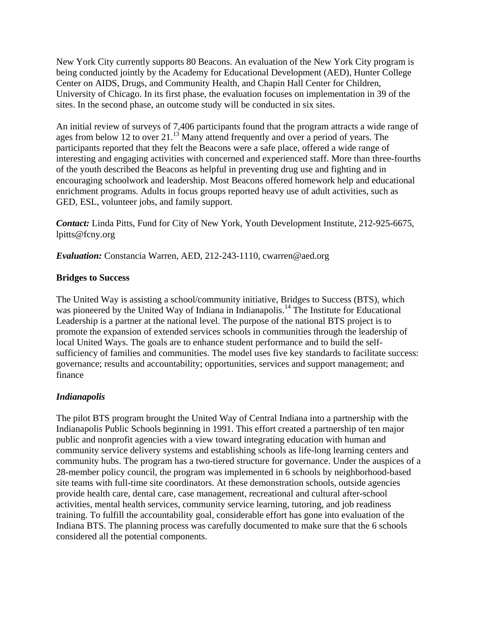New York City currently supports 80 Beacons. An evaluation of the New York City program is being conducted jointly by the Academy for Educational Development (AED), Hunter College Center on AIDS, Drugs, and Community Health, and Chapin Hall Center for Children, University of Chicago. In its first phase, the evaluation focuses on implementation in 39 of the sites. In the second phase, an outcome study will be conducted in six sites.

An initial review of surveys of 7,406 participants found that the program attracts a wide range of ages from below 12 to over 21. $\frac{13}{13}$  Many attend frequently and over a period of years. The participants reported that they felt the Beacons were a safe place, offered a wide range of interesting and engaging activities with concerned and experienced staff. More than three-fourths of the youth described the Beacons as helpful in preventing drug use and fighting and in encouraging schoolwork and leadership. Most Beacons offered homework help and educational enrichment programs. Adults in focus groups reported heavy use of adult activities, such as GED, ESL, volunteer jobs, and family support.

*Contact:* Linda Pitts, Fund for City of New York, Youth Development Institute, 212-925-6675, lpitts@fcny.org

*Evaluation:* Constancia Warren, AED, 212-243-1110, cwarren@aed.org

#### **Bridges to Success**

The United Way is assisting a school/community initiative, Bridges to Success (BTS), which was pioneered by the United Way of Indiana in Indianapolis.<sup>14</sup> The Institute for Educational Leadership is a partner at the national level. The purpose of the national BTS project is to promote the expansion of extended services schools in communities through the leadership of local United Ways. The goals are to enhance student performance and to build the selfsufficiency of families and communities. The model uses five key standards to facilitate success: governance; results and accountability; opportunities, services and support management; and finance

# *Indianapolis*

The pilot BTS program brought the United Way of Central Indiana into a partnership with the Indianapolis Public Schools beginning in 1991. This effort created a partnership of ten major public and nonprofit agencies with a view toward integrating education with human and community service delivery systems and establishing schools as life-long learning centers and community hubs. The program has a two-tiered structure for governance. Under the auspices of a 28-member policy council, the program was implemented in 6 schools by neighborhood-based site teams with full-time site coordinators. At these demonstration schools, outside agencies provide health care, dental care, case management, recreational and cultural after-school activities, mental health services, community service learning, tutoring, and job readiness training. To fulfill the accountability goal, considerable effort has gone into evaluation of the Indiana BTS. The planning process was carefully documented to make sure that the 6 schools considered all the potential components.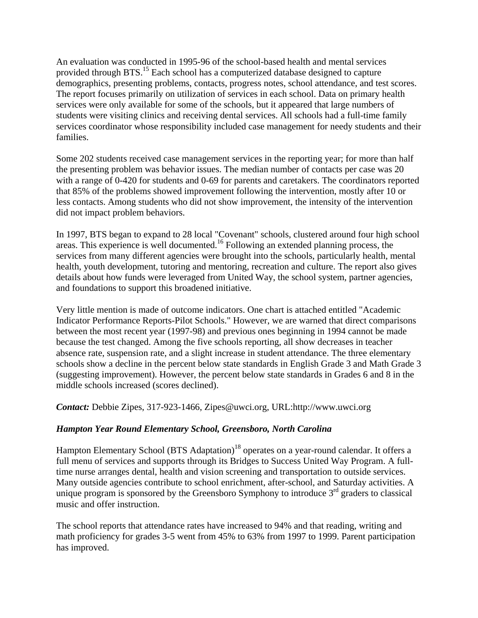An evaluation was conducted in 1995-96 of the school-based health and mental services provided through BTS.<sup>15</sup> Each school has a computerized database designed to capture demographics, presenting problems, contacts, progress notes, school attendance, and test scores. The report focuses primarily on utilization of services in each school. Data on primary health services were only available for some of the schools, but it appeared that large numbers of students were visiting clinics and receiving dental services. All schools had a full-time family services coordinator whose responsibility included case management for needy students and their families.

Some 202 students received case management services in the reporting year; for more than half the presenting problem was behavior issues. The median number of contacts per case was 20 with a range of 0-420 for students and 0-69 for parents and caretakers. The coordinators reported that 85% of the problems showed improvement following the intervention, mostly after 10 or less contacts. Among students who did not show improvement, the intensity of the intervention did not impact problem behaviors.

In 1997, BTS began to expand to 28 local "Covenant" schools, clustered around four high school areas. This experience is well documented.16 Following an extended planning process, the services from many different agencies were brought into the schools, particularly health, mental health, youth development, tutoring and mentoring, recreation and culture. The report also gives details about how funds were leveraged from United Way, the school system, partner agencies, and foundations to support this broadened initiative.

Very little mention is made of outcome indicators. One chart is attached entitled "Academic Indicator Performance Reports-Pilot Schools." However, we are warned that direct comparisons between the most recent year (1997-98) and previous ones beginning in 1994 cannot be made because the test changed. Among the five schools reporting, all show decreases in teacher absence rate, suspension rate, and a slight increase in student attendance. The three elementary schools show a decline in the percent below state standards in English Grade 3 and Math Grade 3 (suggesting improvement). However, the percent below state standards in Grades 6 and 8 in the middle schools increased (scores declined).

*Contact:* Debbie Zipes, 317-923-1466, Zipes@uwci.org, URL:http://www.uwci.org

# *Hampton Year Round Elementary School, Greensboro, North Carolina*

Hampton Elementary School (BTS Adaptation)<sup>18</sup> operates on a year-round calendar. It offers a full menu of services and supports through its Bridges to Success United Way Program. A fulltime nurse arranges dental, health and vision screening and transportation to outside services. Many outside agencies contribute to school enrichment, after-school, and Saturday activities. A unique program is sponsored by the Greensboro Symphony to introduce  $3<sup>rd</sup>$  graders to classical music and offer instruction.

The school reports that attendance rates have increased to 94% and that reading, writing and math proficiency for grades 3-5 went from 45% to 63% from 1997 to 1999. Parent participation has improved.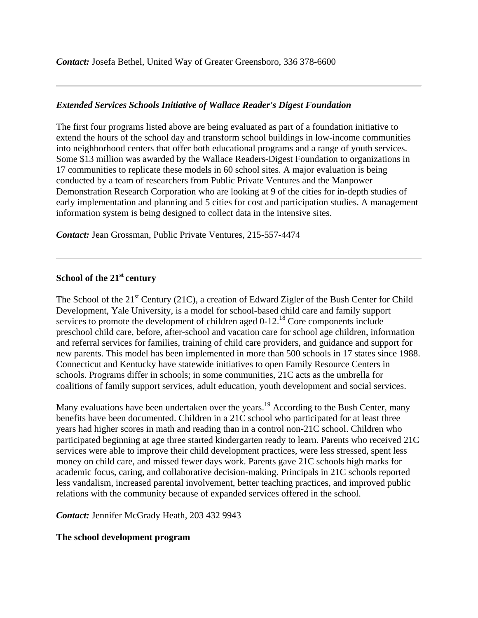*Contact:* Josefa Bethel, United Way of Greater Greensboro, 336 378-6600

#### *Extended Services Schools Initiative of Wallace Reader's Digest Foundation*

The first four programs listed above are being evaluated as part of a foundation initiative to extend the hours of the school day and transform school buildings in low-income communities into neighborhood centers that offer both educational programs and a range of youth services. Some \$13 million was awarded by the Wallace Readers-Digest Foundation to organizations in 17 communities to replicate these models in 60 school sites. A major evaluation is being conducted by a team of researchers from Public Private Ventures and the Manpower Demonstration Research Corporation who are looking at 9 of the cities for in-depth studies of early implementation and planning and 5 cities for cost and participation studies. A management information system is being designed to collect data in the intensive sites.

*Contact:* Jean Grossman, Public Private Ventures, 215-557-4474

# **School of the 21st century**

The School of the 21<sup>st</sup> Century (21C), a creation of Edward Zigler of the Bush Center for Child Development, Yale University, is a model for school-based child care and family support services to promote the development of children aged 0-12.<sup>18</sup> Core components include preschool child care, before, after-school and vacation care for school age children, information and referral services for families, training of child care providers, and guidance and support for new parents. This model has been implemented in more than 500 schools in 17 states since 1988. Connecticut and Kentucky have statewide initiatives to open Family Resource Centers in schools. Programs differ in schools; in some communities, 21C acts as the umbrella for coalitions of family support services, adult education, youth development and social services.

Many evaluations have been undertaken over the years.<sup>19</sup> According to the Bush Center, many benefits have been documented. Children in a 21C school who participated for at least three years had higher scores in math and reading than in a control non-21C school. Children who participated beginning at age three started kindergarten ready to learn. Parents who received 21C services were able to improve their child development practices, were less stressed, spent less money on child care, and missed fewer days work. Parents gave 21C schools high marks for academic focus, caring, and collaborative decision-making. Principals in 21C schools reported less vandalism, increased parental involvement, better teaching practices, and improved public relations with the community because of expanded services offered in the school.

*Contact:* Jennifer McGrady Heath, 203 432 9943

#### **The school development program**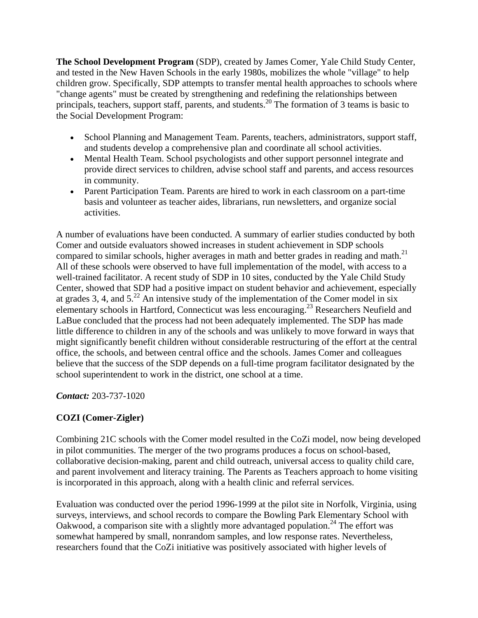**The School Development Program** (SDP), created by James Comer, Yale Child Study Center, and tested in the New Haven Schools in the early 1980s, mobilizes the whole "village" to help children grow. Specifically, SDP attempts to transfer mental health approaches to schools where "change agents" must be created by strengthening and redefining the relationships between principals, teachers, support staff, parents, and students.<sup>20</sup> The formation of 3 teams is basic to the Social Development Program:

- School Planning and Management Team. Parents, teachers, administrators, support staff, and students develop a comprehensive plan and coordinate all school activities.
- Mental Health Team. School psychologists and other support personnel integrate and provide direct services to children, advise school staff and parents, and access resources in community.
- Parent Participation Team. Parents are hired to work in each classroom on a part-time basis and volunteer as teacher aides, librarians, run newsletters, and organize social activities.

A number of evaluations have been conducted. A summary of earlier studies conducted by both Comer and outside evaluators showed increases in student achievement in SDP schools compared to similar schools, higher averages in math and better grades in reading and math.<sup>21</sup> All of these schools were observed to have full implementation of the model, with access to a well-trained facilitator. A recent study of SDP in 10 sites, conducted by the Yale Child Study Center, showed that SDP had a positive impact on student behavior and achievement, especially at grades 3, 4, and  $5.^{22}$  An intensive study of the implementation of the Comer model in six elementary schools in Hartford, Connecticut was less encouraging.23 Researchers Neufield and LaBue concluded that the process had not been adequately implemented. The SDP has made little difference to children in any of the schools and was unlikely to move forward in ways that might significantly benefit children without considerable restructuring of the effort at the central office, the schools, and between central office and the schools. James Comer and colleagues believe that the success of the SDP depends on a full-time program facilitator designated by the school superintendent to work in the district, one school at a time.

*Contact:* 203-737-1020

# **COZI (Comer-Zigler)**

Combining 21C schools with the Comer model resulted in the CoZi model, now being developed in pilot communities. The merger of the two programs produces a focus on school-based, collaborative decision-making, parent and child outreach, universal access to quality child care, and parent involvement and literacy training. The Parents as Teachers approach to home visiting is incorporated in this approach, along with a health clinic and referral services.

Evaluation was conducted over the period 1996-1999 at the pilot site in Norfolk, Virginia, using surveys, interviews, and school records to compare the Bowling Park Elementary School with Oakwood, a comparison site with a slightly more advantaged population.<sup>24</sup> The effort was somewhat hampered by small, nonrandom samples, and low response rates. Nevertheless, researchers found that the CoZi initiative was positively associated with higher levels of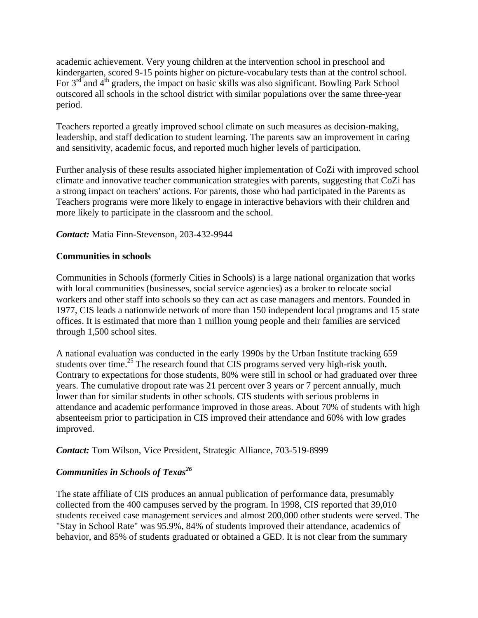academic achievement. Very young children at the intervention school in preschool and kindergarten, scored 9-15 points higher on picture-vocabulary tests than at the control school. For  $3<sup>rd</sup>$  and  $4<sup>th</sup>$  graders, the impact on basic skills was also significant. Bowling Park School outscored all schools in the school district with similar populations over the same three-year period.

Teachers reported a greatly improved school climate on such measures as decision-making, leadership, and staff dedication to student learning. The parents saw an improvement in caring and sensitivity, academic focus, and reported much higher levels of participation.

Further analysis of these results associated higher implementation of CoZi with improved school climate and innovative teacher communication strategies with parents, suggesting that CoZi has a strong impact on teachers' actions. For parents, those who had participated in the Parents as Teachers programs were more likely to engage in interactive behaviors with their children and more likely to participate in the classroom and the school.

#### *Contact:* Matia Finn-Stevenson, 203-432-9944

#### **Communities in schools**

Communities in Schools (formerly Cities in Schools) is a large national organization that works with local communities (businesses, social service agencies) as a broker to relocate social workers and other staff into schools so they can act as case managers and mentors. Founded in 1977, CIS leads a nationwide network of more than 150 independent local programs and 15 state offices. It is estimated that more than 1 million young people and their families are serviced through 1,500 school sites.

A national evaluation was conducted in the early 1990s by the Urban Institute tracking 659 students over time.<sup>25</sup> The research found that CIS programs served very high-risk youth. Contrary to expectations for those students, 80% were still in school or had graduated over three years. The cumulative dropout rate was 21 percent over 3 years or 7 percent annually, much lower than for similar students in other schools. CIS students with serious problems in attendance and academic performance improved in those areas. About 70% of students with high absenteeism prior to participation in CIS improved their attendance and 60% with low grades improved.

*Contact:* Tom Wilson, Vice President, Strategic Alliance, 703-519-8999

# *Communities in Schools of Texas<sup>26</sup>*

The state affiliate of CIS produces an annual publication of performance data, presumably collected from the 400 campuses served by the program. In 1998, CIS reported that 39,010 students received case management services and almost 200,000 other students were served. The "Stay in School Rate" was 95.9%, 84% of students improved their attendance, academics of behavior, and 85% of students graduated or obtained a GED. It is not clear from the summary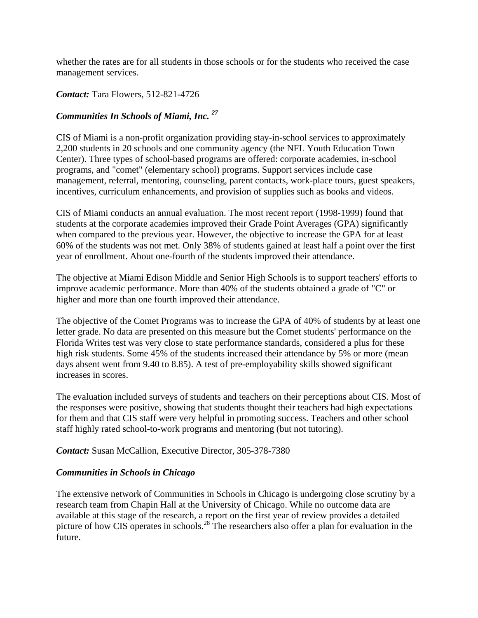whether the rates are for all students in those schools or for the students who received the case management services.

### *Contact:* Tara Flowers, 512-821-4726

# *Communities In Schools of Miami, Inc. <sup>27</sup>*

CIS of Miami is a non-profit organization providing stay-in-school services to approximately 2,200 students in 20 schools and one community agency (the NFL Youth Education Town Center). Three types of school-based programs are offered: corporate academies, in-school programs, and "comet" (elementary school) programs. Support services include case management, referral, mentoring, counseling, parent contacts, work-place tours, guest speakers, incentives, curriculum enhancements, and provision of supplies such as books and videos.

CIS of Miami conducts an annual evaluation. The most recent report (1998-1999) found that students at the corporate academies improved their Grade Point Averages (GPA) significantly when compared to the previous year. However, the objective to increase the GPA for at least 60% of the students was not met. Only 38% of students gained at least half a point over the first year of enrollment. About one-fourth of the students improved their attendance.

The objective at Miami Edison Middle and Senior High Schools is to support teachers' efforts to improve academic performance. More than 40% of the students obtained a grade of "C" or higher and more than one fourth improved their attendance.

The objective of the Comet Programs was to increase the GPA of 40% of students by at least one letter grade. No data are presented on this measure but the Comet students' performance on the Florida Writes test was very close to state performance standards, considered a plus for these high risk students. Some 45% of the students increased their attendance by 5% or more (mean days absent went from 9.40 to 8.85). A test of pre-employability skills showed significant increases in scores.

The evaluation included surveys of students and teachers on their perceptions about CIS. Most of the responses were positive, showing that students thought their teachers had high expectations for them and that CIS staff were very helpful in promoting success. Teachers and other school staff highly rated school-to-work programs and mentoring (but not tutoring).

*Contact:* Susan McCallion, Executive Director, 305-378-7380

# *Communities in Schools in Chicago*

The extensive network of Communities in Schools in Chicago is undergoing close scrutiny by a research team from Chapin Hall at the University of Chicago. While no outcome data are available at this stage of the research, a report on the first year of review provides a detailed picture of how CIS operates in schools.<sup>28</sup> The researchers also offer a plan for evaluation in the future.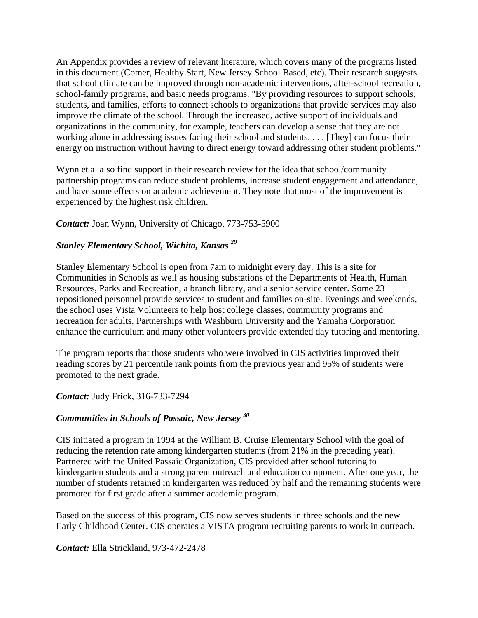An Appendix provides a review of relevant literature, which covers many of the programs listed in this document (Comer, Healthy Start, New Jersey School Based, etc). Their research suggests that school climate can be improved through non-academic interventions, after-school recreation, school-family programs, and basic needs programs. "By providing resources to support schools, students, and families, efforts to connect schools to organizations that provide services may also improve the climate of the school. Through the increased, active support of individuals and organizations in the community, for example, teachers can develop a sense that they are not working alone in addressing issues facing their school and students. . . . [They] can focus their energy on instruction without having to direct energy toward addressing other student problems."

Wynn et al also find support in their research review for the idea that school/community partnership programs can reduce student problems, increase student engagement and attendance, and have some effects on academic achievement. They note that most of the improvement is experienced by the highest risk children.

*Contact:* Joan Wynn, University of Chicago, 773-753-5900

# *Stanley Elementary School, Wichita, Kansas 29*

Stanley Elementary School is open from 7am to midnight every day. This is a site for Communities in Schools as well as housing substations of the Departments of Health, Human Resources, Parks and Recreation, a branch library, and a senior service center. Some 23 repositioned personnel provide services to student and families on-site. Evenings and weekends, the school uses Vista Volunteers to help host college classes, community programs and recreation for adults. Partnerships with Washburn University and the Yamaha Corporation enhance the curriculum and many other volunteers provide extended day tutoring and mentoring.

The program reports that those students who were involved in CIS activities improved their reading scores by 21 percentile rank points from the previous year and 95% of students were promoted to the next grade.

*Contact:* Judy Frick, 316-733-7294

# *Communities in Schools of Passaic, New Jersey <sup>30</sup>*

CIS initiated a program in 1994 at the William B. Cruise Elementary School with the goal of reducing the retention rate among kindergarten students (from 21% in the preceding year). Partnered with the United Passaic Organization, CIS provided after school tutoring to kindergarten students and a strong parent outreach and education component. After one year, the number of students retained in kindergarten was reduced by half and the remaining students were promoted for first grade after a summer academic program.

Based on the success of this program, CIS now serves students in three schools and the new Early Childhood Center. CIS operates a VISTA program recruiting parents to work in outreach.

*Contact:* Ella Strickland, 973-472-2478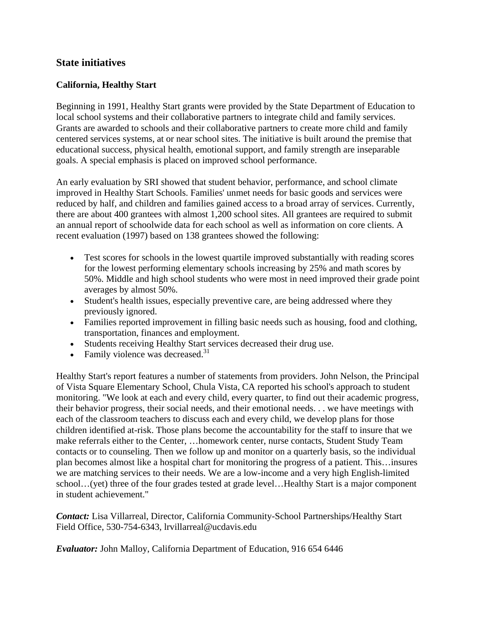# **State initiatives**

#### **California, Healthy Start**

Beginning in 1991, Healthy Start grants were provided by the State Department of Education to local school systems and their collaborative partners to integrate child and family services. Grants are awarded to schools and their collaborative partners to create more child and family centered services systems, at or near school sites. The initiative is built around the premise that educational success, physical health, emotional support, and family strength are inseparable goals. A special emphasis is placed on improved school performance.

An early evaluation by SRI showed that student behavior, performance, and school climate improved in Healthy Start Schools. Families' unmet needs for basic goods and services were reduced by half, and children and families gained access to a broad array of services. Currently, there are about 400 grantees with almost 1,200 school sites. All grantees are required to submit an annual report of schoolwide data for each school as well as information on core clients. A recent evaluation (1997) based on 138 grantees showed the following:

- Test scores for schools in the lowest quartile improved substantially with reading scores for the lowest performing elementary schools increasing by 25% and math scores by 50%. Middle and high school students who were most in need improved their grade point averages by almost 50%.
- Student's health issues, especially preventive care, are being addressed where they previously ignored.
- Families reported improvement in filling basic needs such as housing, food and clothing, transportation, finances and employment.
- Students receiving Healthy Start services decreased their drug use.
- Family violence was decreased. $31$

Healthy Start's report features a number of statements from providers. John Nelson, the Principal of Vista Square Elementary School, Chula Vista, CA reported his school's approach to student monitoring. "We look at each and every child, every quarter, to find out their academic progress, their behavior progress, their social needs, and their emotional needs. . . we have meetings with each of the classroom teachers to discuss each and every child, we develop plans for those children identified at-risk. Those plans become the accountability for the staff to insure that we make referrals either to the Center, …homework center, nurse contacts, Student Study Team contacts or to counseling. Then we follow up and monitor on a quarterly basis, so the individual plan becomes almost like a hospital chart for monitoring the progress of a patient. This…insures we are matching services to their needs. We are a low-income and a very high English-limited school…(yet) three of the four grades tested at grade level…Healthy Start is a major component in student achievement."

*Contact:* Lisa Villarreal, Director, California Community-School Partnerships/Healthy Start Field Office, 530-754-6343, lrvillarreal@ucdavis.edu

*Evaluator:* John Malloy, California Department of Education, 916 654 6446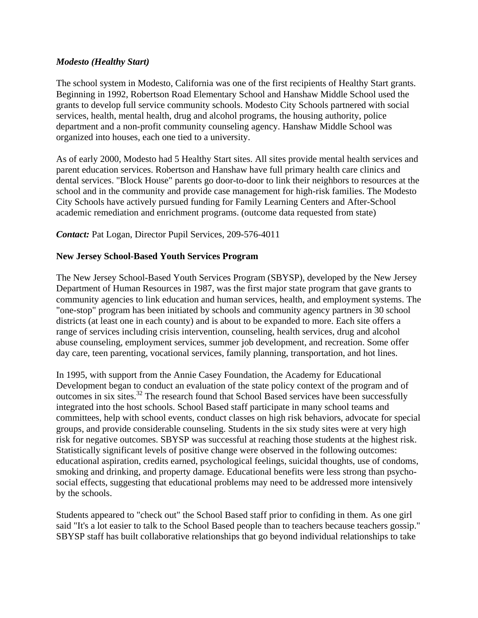#### *Modesto (Healthy Start)*

The school system in Modesto, California was one of the first recipients of Healthy Start grants. Beginning in 1992, Robertson Road Elementary School and Hanshaw Middle School used the grants to develop full service community schools. Modesto City Schools partnered with social services, health, mental health, drug and alcohol programs, the housing authority, police department and a non-profit community counseling agency. Hanshaw Middle School was organized into houses, each one tied to a university.

As of early 2000, Modesto had 5 Healthy Start sites. All sites provide mental health services and parent education services. Robertson and Hanshaw have full primary health care clinics and dental services. "Block House" parents go door-to-door to link their neighbors to resources at the school and in the community and provide case management for high-risk families. The Modesto City Schools have actively pursued funding for Family Learning Centers and After-School academic remediation and enrichment programs. (outcome data requested from state)

#### *Contact:* Pat Logan, Director Pupil Services, 209-576-4011

#### **New Jersey School-Based Youth Services Program**

The New Jersey School-Based Youth Services Program (SBYSP), developed by the New Jersey Department of Human Resources in 1987, was the first major state program that gave grants to community agencies to link education and human services, health, and employment systems. The "one-stop" program has been initiated by schools and community agency partners in 30 school districts (at least one in each county) and is about to be expanded to more. Each site offers a range of services including crisis intervention, counseling, health services, drug and alcohol abuse counseling, employment services, summer job development, and recreation. Some offer day care, teen parenting, vocational services, family planning, transportation, and hot lines.

In 1995, with support from the Annie Casey Foundation, the Academy for Educational Development began to conduct an evaluation of the state policy context of the program and of outcomes in six sites.32 The research found that School Based services have been successfully integrated into the host schools. School Based staff participate in many school teams and committees, help with school events, conduct classes on high risk behaviors, advocate for special groups, and provide considerable counseling. Students in the six study sites were at very high risk for negative outcomes. SBYSP was successful at reaching those students at the highest risk. Statistically significant levels of positive change were observed in the following outcomes: educational aspiration, credits earned, psychological feelings, suicidal thoughts, use of condoms, smoking and drinking, and property damage. Educational benefits were less strong than psychosocial effects, suggesting that educational problems may need to be addressed more intensively by the schools.

Students appeared to "check out" the School Based staff prior to confiding in them. As one girl said "It's a lot easier to talk to the School Based people than to teachers because teachers gossip." SBYSP staff has built collaborative relationships that go beyond individual relationships to take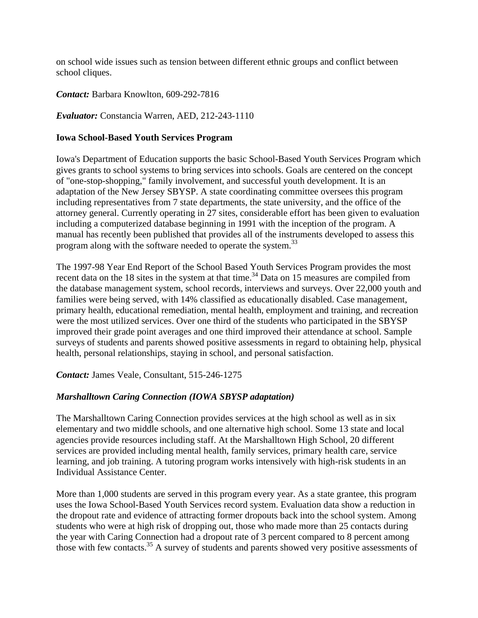on school wide issues such as tension between different ethnic groups and conflict between school cliques.

#### *Contact:* Barbara Knowlton, 609-292-7816

#### *Evaluator:* Constancia Warren, AED, 212-243-1110

#### **Iowa School-Based Youth Services Program**

Iowa's Department of Education supports the basic School-Based Youth Services Program which gives grants to school systems to bring services into schools. Goals are centered on the concept of "one-stop-shopping," family involvement, and successful youth development. It is an adaptation of the New Jersey SBYSP. A state coordinating committee oversees this program including representatives from 7 state departments, the state university, and the office of the attorney general. Currently operating in 27 sites, considerable effort has been given to evaluation including a computerized database beginning in 1991 with the inception of the program. A manual has recently been published that provides all of the instruments developed to assess this program along with the software needed to operate the system.<sup>33</sup>

The 1997-98 Year End Report of the School Based Youth Services Program provides the most recent data on the 18 sites in the system at that time.<sup>34</sup> Data on 15 measures are compiled from the database management system, school records, interviews and surveys. Over 22,000 youth and families were being served, with 14% classified as educationally disabled. Case management, primary health, educational remediation, mental health, employment and training, and recreation were the most utilized services. Over one third of the students who participated in the SBYSP improved their grade point averages and one third improved their attendance at school. Sample surveys of students and parents showed positive assessments in regard to obtaining help, physical health, personal relationships, staying in school, and personal satisfaction.

*Contact:* James Veale, Consultant, 515-246-1275

# *Marshalltown Caring Connection (IOWA SBYSP adaptation)*

The Marshalltown Caring Connection provides services at the high school as well as in six elementary and two middle schools, and one alternative high school. Some 13 state and local agencies provide resources including staff. At the Marshalltown High School, 20 different services are provided including mental health, family services, primary health care, service learning, and job training. A tutoring program works intensively with high-risk students in an Individual Assistance Center.

More than 1,000 students are served in this program every year. As a state grantee, this program uses the Iowa School-Based Youth Services record system. Evaluation data show a reduction in the dropout rate and evidence of attracting former dropouts back into the school system. Among students who were at high risk of dropping out, those who made more than 25 contacts during the year with Caring Connection had a dropout rate of 3 percent compared to 8 percent among those with few contacts.<sup>35</sup> A survey of students and parents showed very positive assessments of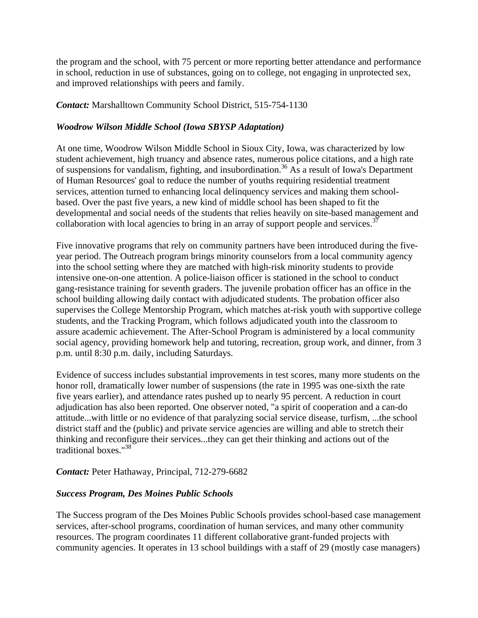the program and the school, with 75 percent or more reporting better attendance and performance in school, reduction in use of substances, going on to college, not engaging in unprotected sex, and improved relationships with peers and family.

*Contact:* Marshalltown Community School District, 515-754-1130

# *Woodrow Wilson Middle School (Iowa SBYSP Adaptation)*

At one time, Woodrow Wilson Middle School in Sioux City, Iowa, was characterized by low student achievement, high truancy and absence rates, numerous police citations, and a high rate of suspensions for vandalism, fighting, and insubordination.<sup>36</sup> As a result of Iowa's Department of Human Resources' goal to reduce the number of youths requiring residential treatment services, attention turned to enhancing local delinquency services and making them schoolbased. Over the past five years, a new kind of middle school has been shaped to fit the developmental and social needs of the students that relies heavily on site-based management and collaboration with local agencies to bring in an array of support people and services.<sup>37</sup>

Five innovative programs that rely on community partners have been introduced during the fiveyear period. The Outreach program brings minority counselors from a local community agency into the school setting where they are matched with high-risk minority students to provide intensive one-on-one attention. A police-liaison officer is stationed in the school to conduct gang-resistance training for seventh graders. The juvenile probation officer has an office in the school building allowing daily contact with adjudicated students. The probation officer also supervises the College Mentorship Program, which matches at-risk youth with supportive college students, and the Tracking Program, which follows adjudicated youth into the classroom to assure academic achievement. The After-School Program is administered by a local community social agency, providing homework help and tutoring, recreation, group work, and dinner, from 3 p.m. until 8:30 p.m. daily, including Saturdays.

Evidence of success includes substantial improvements in test scores, many more students on the honor roll, dramatically lower number of suspensions (the rate in 1995 was one-sixth the rate five years earlier), and attendance rates pushed up to nearly 95 percent. A reduction in court adjudication has also been reported. One observer noted, "a spirit of cooperation and a can-do attitude...with little or no evidence of that paralyzing social service disease, turfism, ...the school district staff and the (public) and private service agencies are willing and able to stretch their thinking and reconfigure their services...they can get their thinking and actions out of the traditional boxes."38

# *Contact:* Peter Hathaway, Principal, 712-279-6682

# *Success Program, Des Moines Public Schools*

The Success program of the Des Moines Public Schools provides school-based case management services, after-school programs, coordination of human services, and many other community resources. The program coordinates 11 different collaborative grant-funded projects with community agencies. It operates in 13 school buildings with a staff of 29 (mostly case managers)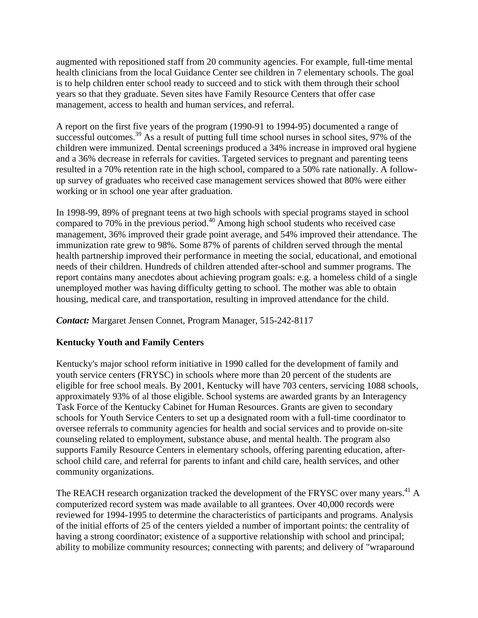augmented with repositioned staff from 20 community agencies. For example, full-time mental health clinicians from the local Guidance Center see children in 7 elementary schools. The goal is to help children enter school ready to succeed and to stick with them through their school years so that they graduate. Seven sites have Family Resource Centers that offer case management, access to health and human services, and referral.

A report on the first five years of the program (1990-91 to 1994-95) documented a range of successful outcomes.<sup>39</sup> As a result of putting full time school nurses in school sites,  $97\%$  of the children were immunized. Dental screenings produced a 34% increase in improved oral hygiene and a 36% decrease in referrals for cavities. Targeted services to pregnant and parenting teens resulted in a 70% retention rate in the high school, compared to a 50% rate nationally. A followup survey of graduates who received case management services showed that 80% were either working or in school one year after graduation.

In 1998-99, 89% of pregnant teens at two high schools with special programs stayed in school compared to 70% in the previous period.<sup>40</sup> Among high school students who received case management, 36% improved their grade point average, and 54% improved their attendance. The immunization rate grew to 98%. Some 87% of parents of children served through the mental health partnership improved their performance in meeting the social, educational, and emotional needs of their children. Hundreds of children attended after-school and summer programs. The report contains many anecdotes about achieving program goals: e.g. a homeless child of a single unemployed mother was having difficulty getting to school. The mother was able to obtain housing, medical care, and transportation, resulting in improved attendance for the child.

*Contact:* Margaret Jensen Connet, Program Manager, 515-242-8117

# **Kentucky Youth and Family Centers**

Kentucky's major school reform initiative in 1990 called for the development of family and youth service centers (FRYSC) in schools where more than 20 percent of the students are eligible for free school meals. By 2001, Kentucky will have 703 centers, servicing 1088 schools, approximately 93% of al those eligible. School systems are awarded grants by an Interagency Task Force of the Kentucky Cabinet for Human Resources. Grants are given to secondary schools for Youth Service Centers to set up a designated room with a full-time coordinator to oversee referrals to community agencies for health and social services and to provide on-site counseling related to employment, substance abuse, and mental health. The program also supports Family Resource Centers in elementary schools, offering parenting education, afterschool child care, and referral for parents to infant and child care, health services, and other community organizations.

The REACH research organization tracked the development of the FRYSC over many years.<sup>41</sup> A computerized record system was made available to all grantees. Over 40,000 records were reviewed for 1994-1995 to determine the characteristics of participants and programs. Analysis of the initial efforts of 25 of the centers yielded a number of important points: the centrality of having a strong coordinator; existence of a supportive relationship with school and principal; ability to mobilize community resources; connecting with parents; and delivery of "wraparound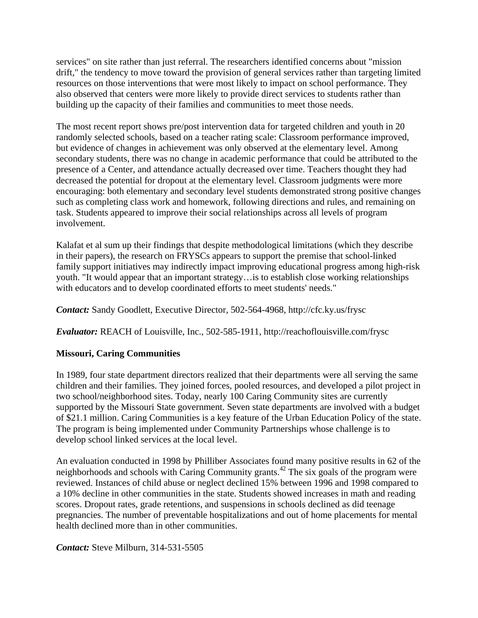services" on site rather than just referral. The researchers identified concerns about "mission drift," the tendency to move toward the provision of general services rather than targeting limited resources on those interventions that were most likely to impact on school performance. They also observed that centers were more likely to provide direct services to students rather than building up the capacity of their families and communities to meet those needs.

The most recent report shows pre/post intervention data for targeted children and youth in 20 randomly selected schools, based on a teacher rating scale: Classroom performance improved, but evidence of changes in achievement was only observed at the elementary level. Among secondary students, there was no change in academic performance that could be attributed to the presence of a Center, and attendance actually decreased over time. Teachers thought they had decreased the potential for dropout at the elementary level. Classroom judgments were more encouraging: both elementary and secondary level students demonstrated strong positive changes such as completing class work and homework, following directions and rules, and remaining on task. Students appeared to improve their social relationships across all levels of program involvement.

Kalafat et al sum up their findings that despite methodological limitations (which they describe in their papers), the research on FRYSCs appears to support the premise that school-linked family support initiatives may indirectly impact improving educational progress among high-risk youth. "It would appear that an important strategy…is to establish close working relationships with educators and to develop coordinated efforts to meet students' needs."

*Contact:* Sandy Goodlett, Executive Director, 502-564-4968, http://cfc.ky.us/frysc

*Evaluator:* REACH of Louisville, Inc., 502-585-1911, http://reachoflouisville.com/frysc

# **Missouri, Caring Communities**

In 1989, four state department directors realized that their departments were all serving the same children and their families. They joined forces, pooled resources, and developed a pilot project in two school/neighborhood sites. Today, nearly 100 Caring Community sites are currently supported by the Missouri State government. Seven state departments are involved with a budget of \$21.1 million. Caring Communities is a key feature of the Urban Education Policy of the state. The program is being implemented under Community Partnerships whose challenge is to develop school linked services at the local level.

An evaluation conducted in 1998 by Philliber Associates found many positive results in 62 of the neighborhoods and schools with Caring Community grants.<sup>42</sup> The six goals of the program were reviewed. Instances of child abuse or neglect declined 15% between 1996 and 1998 compared to a 10% decline in other communities in the state. Students showed increases in math and reading scores. Dropout rates, grade retentions, and suspensions in schools declined as did teenage pregnancies. The number of preventable hospitalizations and out of home placements for mental health declined more than in other communities.

*Contact:* Steve Milburn, 314-531-5505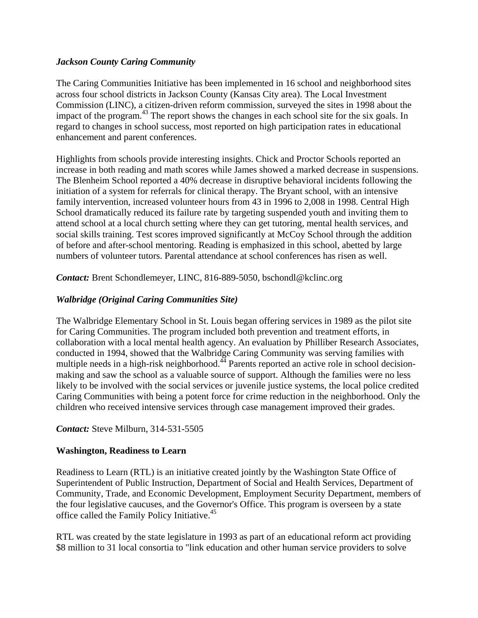# *Jackson County Caring Community*

The Caring Communities Initiative has been implemented in 16 school and neighborhood sites across four school districts in Jackson County (Kansas City area). The Local Investment Commission (LINC), a citizen-driven reform commission, surveyed the sites in 1998 about the impact of the program.<sup>43</sup> The report shows the changes in each school site for the six goals. In regard to changes in school success, most reported on high participation rates in educational enhancement and parent conferences.

Highlights from schools provide interesting insights. Chick and Proctor Schools reported an increase in both reading and math scores while James showed a marked decrease in suspensions. The Blenheim School reported a 40% decrease in disruptive behavioral incidents following the initiation of a system for referrals for clinical therapy. The Bryant school, with an intensive family intervention, increased volunteer hours from 43 in 1996 to 2,008 in 1998. Central High School dramatically reduced its failure rate by targeting suspended youth and inviting them to attend school at a local church setting where they can get tutoring, mental health services, and social skills training. Test scores improved significantly at McCoy School through the addition of before and after-school mentoring. Reading is emphasized in this school, abetted by large numbers of volunteer tutors. Parental attendance at school conferences has risen as well.

*Contact:* Brent Schondlemeyer, LINC, 816-889-5050, bschondl@kclinc.org

# *Walbridge (Original Caring Communities Site)*

The Walbridge Elementary School in St. Louis began offering services in 1989 as the pilot site for Caring Communities. The program included both prevention and treatment efforts, in collaboration with a local mental health agency. An evaluation by Philliber Research Associates, conducted in 1994, showed that the Walbridge Caring Community was serving families with multiple needs in a high-risk neighborhood.<sup>44</sup> Parents reported an active role in school decisionmaking and saw the school as a valuable source of support. Although the families were no less likely to be involved with the social services or juvenile justice systems, the local police credited Caring Communities with being a potent force for crime reduction in the neighborhood. Only the children who received intensive services through case management improved their grades.

# *Contact:* Steve Milburn, 314-531-5505

# **Washington, Readiness to Learn**

Readiness to Learn (RTL) is an initiative created jointly by the Washington State Office of Superintendent of Public Instruction, Department of Social and Health Services, Department of Community, Trade, and Economic Development, Employment Security Department, members of the four legislative caucuses, and the Governor's Office. This program is overseen by a state office called the Family Policy Initiative.<sup>45</sup>

RTL was created by the state legislature in 1993 as part of an educational reform act providing \$8 million to 31 local consortia to "link education and other human service providers to solve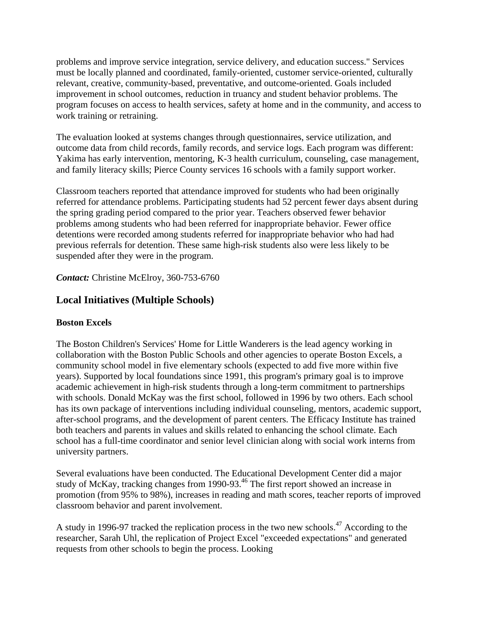problems and improve service integration, service delivery, and education success." Services must be locally planned and coordinated, family-oriented, customer service-oriented, culturally relevant, creative, community-based, preventative, and outcome-oriented. Goals included improvement in school outcomes, reduction in truancy and student behavior problems. The program focuses on access to health services, safety at home and in the community, and access to work training or retraining.

The evaluation looked at systems changes through questionnaires, service utilization, and outcome data from child records, family records, and service logs. Each program was different: Yakima has early intervention, mentoring, K-3 health curriculum, counseling, case management, and family literacy skills; Pierce County services 16 schools with a family support worker.

Classroom teachers reported that attendance improved for students who had been originally referred for attendance problems. Participating students had 52 percent fewer days absent during the spring grading period compared to the prior year. Teachers observed fewer behavior problems among students who had been referred for inappropriate behavior. Fewer office detentions were recorded among students referred for inappropriate behavior who had had previous referrals for detention. These same high-risk students also were less likely to be suspended after they were in the program.

*Contact:* Christine McElroy, 360-753-6760

# **Local Initiatives (Multiple Schools)**

# **Boston Excels**

The Boston Children's Services' Home for Little Wanderers is the lead agency working in collaboration with the Boston Public Schools and other agencies to operate Boston Excels, a community school model in five elementary schools (expected to add five more within five years). Supported by local foundations since 1991, this program's primary goal is to improve academic achievement in high-risk students through a long-term commitment to partnerships with schools. Donald McKay was the first school, followed in 1996 by two others. Each school has its own package of interventions including individual counseling, mentors, academic support, after-school programs, and the development of parent centers. The Efficacy Institute has trained both teachers and parents in values and skills related to enhancing the school climate. Each school has a full-time coordinator and senior level clinician along with social work interns from university partners.

Several evaluations have been conducted. The Educational Development Center did a major study of McKay, tracking changes from 1990-93.<sup>46</sup> The first report showed an increase in promotion (from 95% to 98%), increases in reading and math scores, teacher reports of improved classroom behavior and parent involvement.

A study in 1996-97 tracked the replication process in the two new schools.<sup>47</sup> According to the researcher, Sarah Uhl, the replication of Project Excel "exceeded expectations" and generated requests from other schools to begin the process. Looking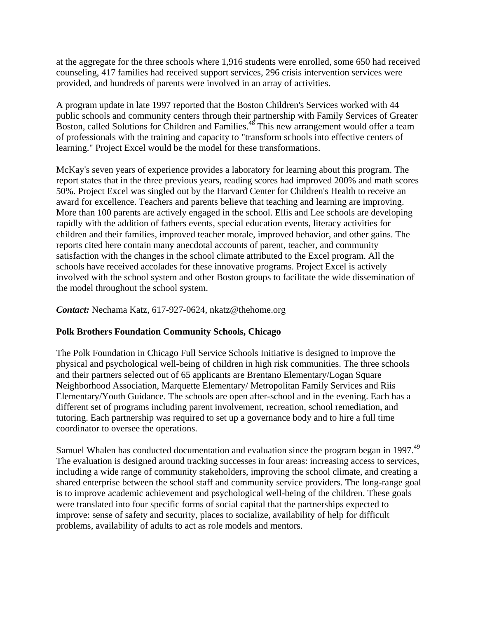at the aggregate for the three schools where 1,916 students were enrolled, some 650 had received counseling, 417 families had received support services, 296 crisis intervention services were provided, and hundreds of parents were involved in an array of activities.

A program update in late 1997 reported that the Boston Children's Services worked with 44 public schools and community centers through their partnership with Family Services of Greater Boston, called Solutions for Children and Families.<sup>48</sup> This new arrangement would offer a team of professionals with the training and capacity to "transform schools into effective centers of learning." Project Excel would be the model for these transformations.

McKay's seven years of experience provides a laboratory for learning about this program. The report states that in the three previous years, reading scores had improved 200% and math scores 50%. Project Excel was singled out by the Harvard Center for Children's Health to receive an award for excellence. Teachers and parents believe that teaching and learning are improving. More than 100 parents are actively engaged in the school. Ellis and Lee schools are developing rapidly with the addition of fathers events, special education events, literacy activities for children and their families, improved teacher morale, improved behavior, and other gains. The reports cited here contain many anecdotal accounts of parent, teacher, and community satisfaction with the changes in the school climate attributed to the Excel program. All the schools have received accolades for these innovative programs. Project Excel is actively involved with the school system and other Boston groups to facilitate the wide dissemination of the model throughout the school system.

*Contact:* Nechama Katz, 617-927-0624, nkatz@thehome.org

# **Polk Brothers Foundation Community Schools, Chicago**

The Polk Foundation in Chicago Full Service Schools Initiative is designed to improve the physical and psychological well-being of children in high risk communities. The three schools and their partners selected out of 65 applicants are Brentano Elementary/Logan Square Neighborhood Association, Marquette Elementary/ Metropolitan Family Services and Riis Elementary/Youth Guidance. The schools are open after-school and in the evening. Each has a different set of programs including parent involvement, recreation, school remediation, and tutoring. Each partnership was required to set up a governance body and to hire a full time coordinator to oversee the operations.

Samuel Whalen has conducted documentation and evaluation since the program began in 1997.<sup>49</sup> The evaluation is designed around tracking successes in four areas: increasing access to services, including a wide range of community stakeholders, improving the school climate, and creating a shared enterprise between the school staff and community service providers. The long-range goal is to improve academic achievement and psychological well-being of the children. These goals were translated into four specific forms of social capital that the partnerships expected to improve: sense of safety and security, places to socialize, availability of help for difficult problems, availability of adults to act as role models and mentors.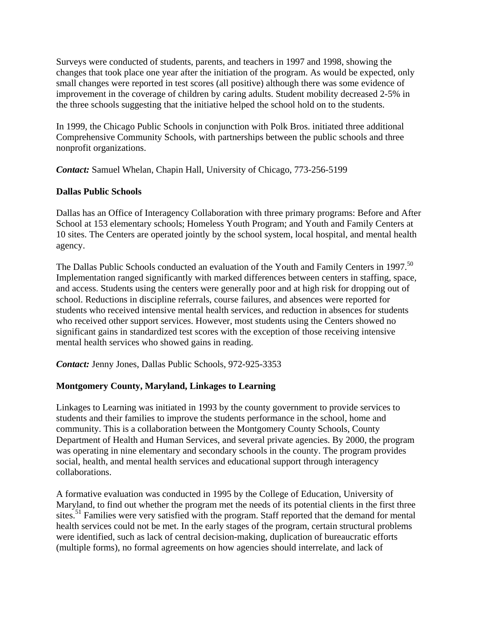Surveys were conducted of students, parents, and teachers in 1997 and 1998, showing the changes that took place one year after the initiation of the program. As would be expected, only small changes were reported in test scores (all positive) although there was some evidence of improvement in the coverage of children by caring adults. Student mobility decreased 2-5% in the three schools suggesting that the initiative helped the school hold on to the students.

In 1999, the Chicago Public Schools in conjunction with Polk Bros. initiated three additional Comprehensive Community Schools, with partnerships between the public schools and three nonprofit organizations.

*Contact:* Samuel Whelan, Chapin Hall, University of Chicago, 773-256-5199

#### **Dallas Public Schools**

Dallas has an Office of Interagency Collaboration with three primary programs: Before and After School at 153 elementary schools; Homeless Youth Program; and Youth and Family Centers at 10 sites. The Centers are operated jointly by the school system, local hospital, and mental health agency.

The Dallas Public Schools conducted an evaluation of the Youth and Family Centers in 1997.<sup>50</sup> Implementation ranged significantly with marked differences between centers in staffing, space, and access. Students using the centers were generally poor and at high risk for dropping out of school. Reductions in discipline referrals, course failures, and absences were reported for students who received intensive mental health services, and reduction in absences for students who received other support services. However, most students using the Centers showed no significant gains in standardized test scores with the exception of those receiving intensive mental health services who showed gains in reading.

*Contact:* Jenny Jones, Dallas Public Schools, 972-925-3353

# **Montgomery County, Maryland, Linkages to Learning**

Linkages to Learning was initiated in 1993 by the county government to provide services to students and their families to improve the students performance in the school, home and community. This is a collaboration between the Montgomery County Schools, County Department of Health and Human Services, and several private agencies. By 2000, the program was operating in nine elementary and secondary schools in the county. The program provides social, health, and mental health services and educational support through interagency collaborations.

A formative evaluation was conducted in 1995 by the College of Education, University of Maryland, to find out whether the program met the needs of its potential clients in the first three sites.<sup>51</sup> Families were very satisfied with the program. Staff reported that the demand for mental health services could not be met. In the early stages of the program, certain structural problems were identified, such as lack of central decision-making, duplication of bureaucratic efforts (multiple forms), no formal agreements on how agencies should interrelate, and lack of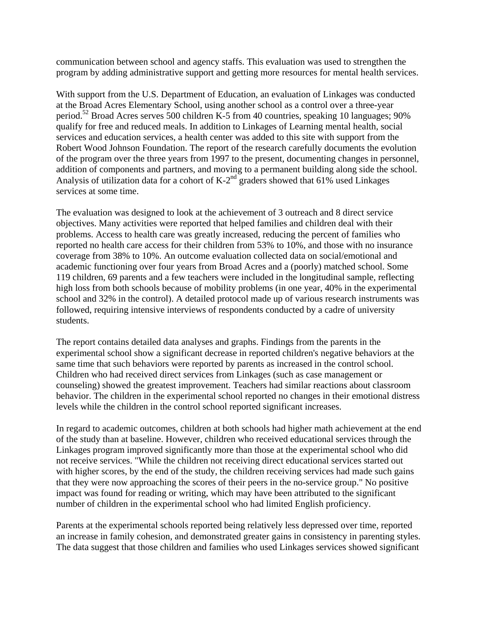communication between school and agency staffs. This evaluation was used to strengthen the program by adding administrative support and getting more resources for mental health services.

With support from the U.S. Department of Education, an evaluation of Linkages was conducted at the Broad Acres Elementary School, using another school as a control over a three-year period.52 Broad Acres serves 500 children K-5 from 40 countries, speaking 10 languages; 90% qualify for free and reduced meals. In addition to Linkages of Learning mental health, social services and education services, a health center was added to this site with support from the Robert Wood Johnson Foundation. The report of the research carefully documents the evolution of the program over the three years from 1997 to the present, documenting changes in personnel, addition of components and partners, and moving to a permanent building along side the school. Analysis of utilization data for a cohort of  $K-2^{nd}$  graders showed that 61% used Linkages services at some time.

The evaluation was designed to look at the achievement of 3 outreach and 8 direct service objectives. Many activities were reported that helped families and children deal with their problems. Access to health care was greatly increased, reducing the percent of families who reported no health care access for their children from 53% to 10%, and those with no insurance coverage from 38% to 10%. An outcome evaluation collected data on social/emotional and academic functioning over four years from Broad Acres and a (poorly) matched school. Some 119 children, 69 parents and a few teachers were included in the longitudinal sample, reflecting high loss from both schools because of mobility problems (in one year, 40% in the experimental school and 32% in the control). A detailed protocol made up of various research instruments was followed, requiring intensive interviews of respondents conducted by a cadre of university students.

The report contains detailed data analyses and graphs. Findings from the parents in the experimental school show a significant decrease in reported children's negative behaviors at the same time that such behaviors were reported by parents as increased in the control school. Children who had received direct services from Linkages (such as case management or counseling) showed the greatest improvement. Teachers had similar reactions about classroom behavior. The children in the experimental school reported no changes in their emotional distress levels while the children in the control school reported significant increases.

In regard to academic outcomes, children at both schools had higher math achievement at the end of the study than at baseline. However, children who received educational services through the Linkages program improved significantly more than those at the experimental school who did not receive services. "While the children not receiving direct educational services started out with higher scores, by the end of the study, the children receiving services had made such gains that they were now approaching the scores of their peers in the no-service group." No positive impact was found for reading or writing, which may have been attributed to the significant number of children in the experimental school who had limited English proficiency.

Parents at the experimental schools reported being relatively less depressed over time, reported an increase in family cohesion, and demonstrated greater gains in consistency in parenting styles. The data suggest that those children and families who used Linkages services showed significant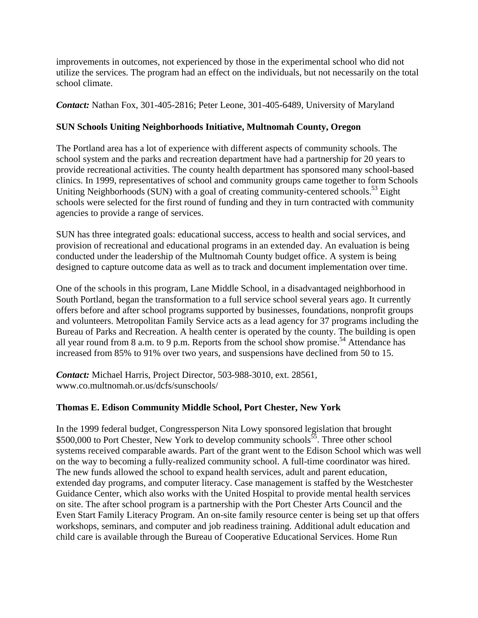improvements in outcomes, not experienced by those in the experimental school who did not utilize the services. The program had an effect on the individuals, but not necessarily on the total school climate.

*Contact:* Nathan Fox, 301-405-2816; Peter Leone, 301-405-6489, University of Maryland

# **SUN Schools Uniting Neighborhoods Initiative, Multnomah County, Oregon**

The Portland area has a lot of experience with different aspects of community schools. The school system and the parks and recreation department have had a partnership for 20 years to provide recreational activities. The county health department has sponsored many school-based clinics. In 1999, representatives of school and community groups came together to form Schools Uniting Neighborhoods (SUN) with a goal of creating community-centered schools.<sup>53</sup> Eight schools were selected for the first round of funding and they in turn contracted with community agencies to provide a range of services.

SUN has three integrated goals: educational success, access to health and social services, and provision of recreational and educational programs in an extended day. An evaluation is being conducted under the leadership of the Multnomah County budget office. A system is being designed to capture outcome data as well as to track and document implementation over time.

One of the schools in this program, Lane Middle School, in a disadvantaged neighborhood in South Portland, began the transformation to a full service school several years ago. It currently offers before and after school programs supported by businesses, foundations, nonprofit groups and volunteers. Metropolitan Family Service acts as a lead agency for 37 programs including the Bureau of Parks and Recreation. A health center is operated by the county. The building is open all year round from 8 a.m. to 9 p.m. Reports from the school show promise.<sup>54</sup> Attendance has increased from 85% to 91% over two years, and suspensions have declined from 50 to 15.

*Contact:* Michael Harris, Project Director, 503-988-3010, ext. 28561, www.co.multnomah.or.us/dcfs/sunschools/

# **Thomas E. Edison Community Middle School, Port Chester, New York**

In the 1999 federal budget, Congressperson Nita Lowy sponsored legislation that brought  $$500,000$  to Port Chester, New York to develop community schools<sup>55</sup>. Three other school systems received comparable awards. Part of the grant went to the Edison School which was well on the way to becoming a fully-realized community school. A full-time coordinator was hired. The new funds allowed the school to expand health services, adult and parent education, extended day programs, and computer literacy. Case management is staffed by the Westchester Guidance Center, which also works with the United Hospital to provide mental health services on site. The after school program is a partnership with the Port Chester Arts Council and the Even Start Family Literacy Program. An on-site family resource center is being set up that offers workshops, seminars, and computer and job readiness training. Additional adult education and child care is available through the Bureau of Cooperative Educational Services. Home Run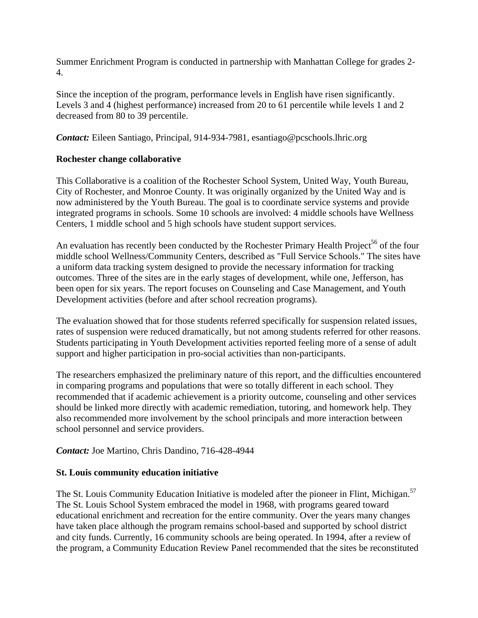Summer Enrichment Program is conducted in partnership with Manhattan College for grades 2- 4.

Since the inception of the program, performance levels in English have risen significantly. Levels 3 and 4 (highest performance) increased from 20 to 61 percentile while levels 1 and 2 decreased from 80 to 39 percentile.

*Contact:* Eileen Santiago, Principal, 914-934-7981, esantiago@pcschools.lhric.org

#### **Rochester change collaborative**

This Collaborative is a coalition of the Rochester School System, United Way, Youth Bureau, City of Rochester, and Monroe County. It was originally organized by the United Way and is now administered by the Youth Bureau. The goal is to coordinate service systems and provide integrated programs in schools. Some 10 schools are involved: 4 middle schools have Wellness Centers, 1 middle school and 5 high schools have student support services.

An evaluation has recently been conducted by the Rochester Primary Health Project<sup>56</sup> of the four middle school Wellness/Community Centers, described as "Full Service Schools." The sites have a uniform data tracking system designed to provide the necessary information for tracking outcomes. Three of the sites are in the early stages of development, while one, Jefferson, has been open for six years. The report focuses on Counseling and Case Management, and Youth Development activities (before and after school recreation programs).

The evaluation showed that for those students referred specifically for suspension related issues, rates of suspension were reduced dramatically, but not among students referred for other reasons. Students participating in Youth Development activities reported feeling more of a sense of adult support and higher participation in pro-social activities than non-participants.

The researchers emphasized the preliminary nature of this report, and the difficulties encountered in comparing programs and populations that were so totally different in each school. They recommended that if academic achievement is a priority outcome, counseling and other services should be linked more directly with academic remediation, tutoring, and homework help. They also recommended more involvement by the school principals and more interaction between school personnel and service providers.

*Contact:* Joe Martino, Chris Dandino, 716-428-4944

# **St. Louis community education initiative**

The St. Louis Community Education Initiative is modeled after the pioneer in Flint, Michigan.<sup>57</sup> The St. Louis School System embraced the model in 1968, with programs geared toward educational enrichment and recreation for the entire community. Over the years many changes have taken place although the program remains school-based and supported by school district and city funds. Currently, 16 community schools are being operated. In 1994, after a review of the program, a Community Education Review Panel recommended that the sites be reconstituted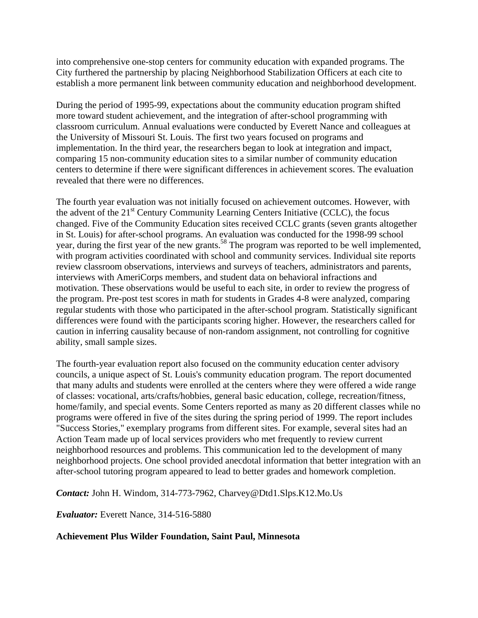into comprehensive one-stop centers for community education with expanded programs. The City furthered the partnership by placing Neighborhood Stabilization Officers at each cite to establish a more permanent link between community education and neighborhood development.

During the period of 1995-99, expectations about the community education program shifted more toward student achievement, and the integration of after-school programming with classroom curriculum. Annual evaluations were conducted by Everett Nance and colleagues at the University of Missouri St. Louis. The first two years focused on programs and implementation. In the third year, the researchers began to look at integration and impact, comparing 15 non-community education sites to a similar number of community education centers to determine if there were significant differences in achievement scores. The evaluation revealed that there were no differences.

The fourth year evaluation was not initially focused on achievement outcomes. However, with the advent of the  $21<sup>st</sup>$  Century Community Learning Centers Initiative (CCLC), the focus changed. Five of the Community Education sites received CCLC grants (seven grants altogether in St. Louis) for after-school programs. An evaluation was conducted for the 1998-99 school year, during the first year of the new grants.<sup>58</sup> The program was reported to be well implemented, with program activities coordinated with school and community services. Individual site reports review classroom observations, interviews and surveys of teachers, administrators and parents, interviews with AmeriCorps members, and student data on behavioral infractions and motivation. These observations would be useful to each site, in order to review the progress of the program. Pre-post test scores in math for students in Grades 4-8 were analyzed, comparing regular students with those who participated in the after-school program. Statistically significant differences were found with the participants scoring higher. However, the researchers called for caution in inferring causality because of non-random assignment, not controlling for cognitive ability, small sample sizes.

The fourth-year evaluation report also focused on the community education center advisory councils, a unique aspect of St. Louis's community education program. The report documented that many adults and students were enrolled at the centers where they were offered a wide range of classes: vocational, arts/crafts/hobbies, general basic education, college, recreation/fitness, home/family, and special events. Some Centers reported as many as 20 different classes while no programs were offered in five of the sites during the spring period of 1999. The report includes "Success Stories," exemplary programs from different sites. For example, several sites had an Action Team made up of local services providers who met frequently to review current neighborhood resources and problems. This communication led to the development of many neighborhood projects. One school provided anecdotal information that better integration with an after-school tutoring program appeared to lead to better grades and homework completion.

*Contact:* John H. Windom, 314-773-7962, Charvey@Dtd1.Slps.K12.Mo.Us

*Evaluator:* Everett Nance, 314-516-5880

# **Achievement Plus Wilder Foundation, Saint Paul, Minnesota**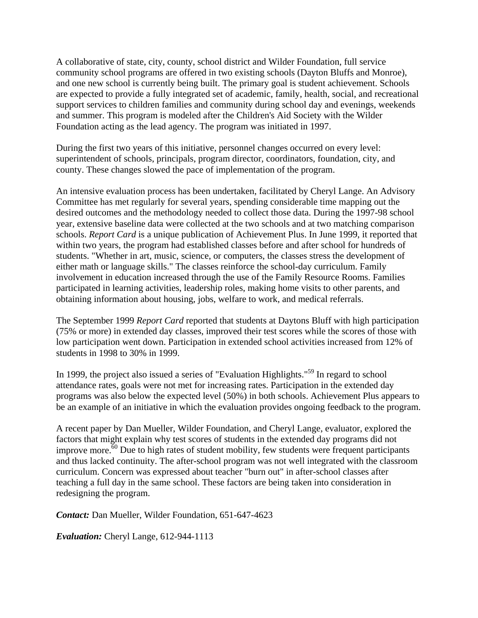A collaborative of state, city, county, school district and Wilder Foundation, full service community school programs are offered in two existing schools (Dayton Bluffs and Monroe), and one new school is currently being built. The primary goal is student achievement. Schools are expected to provide a fully integrated set of academic, family, health, social, and recreational support services to children families and community during school day and evenings, weekends and summer. This program is modeled after the Children's Aid Society with the Wilder Foundation acting as the lead agency. The program was initiated in 1997.

During the first two years of this initiative, personnel changes occurred on every level: superintendent of schools, principals, program director, coordinators, foundation, city, and county. These changes slowed the pace of implementation of the program.

An intensive evaluation process has been undertaken, facilitated by Cheryl Lange. An Advisory Committee has met regularly for several years, spending considerable time mapping out the desired outcomes and the methodology needed to collect those data. During the 1997-98 school year, extensive baseline data were collected at the two schools and at two matching comparison schools. *Report Card* is a unique publication of Achievement Plus. In June 1999, it reported that within two years, the program had established classes before and after school for hundreds of students. "Whether in art, music, science, or computers, the classes stress the development of either math or language skills." The classes reinforce the school-day curriculum. Family involvement in education increased through the use of the Family Resource Rooms. Families participated in learning activities, leadership roles, making home visits to other parents, and obtaining information about housing, jobs, welfare to work, and medical referrals.

The September 1999 *Report Card* reported that students at Daytons Bluff with high participation (75% or more) in extended day classes, improved their test scores while the scores of those with low participation went down. Participation in extended school activities increased from 12% of students in 1998 to 30% in 1999.

In 1999, the project also issued a series of "Evaluation Highlights."<sup>59</sup> In regard to school attendance rates, goals were not met for increasing rates. Participation in the extended day programs was also below the expected level (50%) in both schools. Achievement Plus appears to be an example of an initiative in which the evaluation provides ongoing feedback to the program.

A recent paper by Dan Mueller, Wilder Foundation, and Cheryl Lange, evaluator, explored the factors that might explain why test scores of students in the extended day programs did not improve more.  $\frac{60}{60}$  Due to high rates of student mobility, few students were frequent participants and thus lacked continuity. The after-school program was not well integrated with the classroom curriculum. Concern was expressed about teacher "burn out" in after-school classes after teaching a full day in the same school. These factors are being taken into consideration in redesigning the program.

*Contact:* Dan Mueller, Wilder Foundation, 651-647-4623

*Evaluation:* Cheryl Lange, 612-944-1113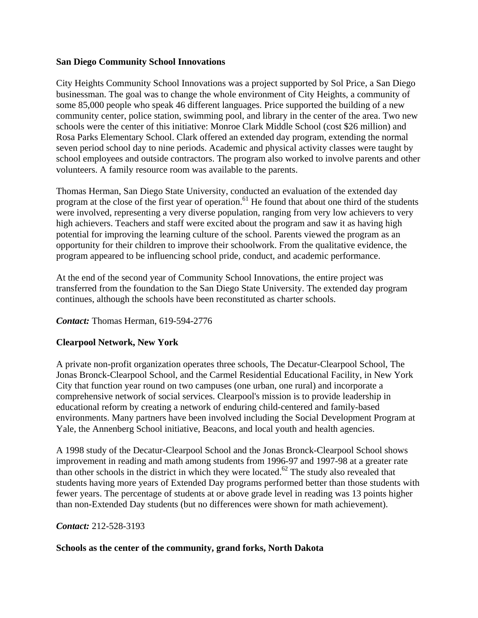#### **San Diego Community School Innovations**

City Heights Community School Innovations was a project supported by Sol Price, a San Diego businessman. The goal was to change the whole environment of City Heights, a community of some 85,000 people who speak 46 different languages. Price supported the building of a new community center, police station, swimming pool, and library in the center of the area. Two new schools were the center of this initiative: Monroe Clark Middle School (cost \$26 million) and Rosa Parks Elementary School. Clark offered an extended day program, extending the normal seven period school day to nine periods. Academic and physical activity classes were taught by school employees and outside contractors. The program also worked to involve parents and other volunteers. A family resource room was available to the parents.

Thomas Herman, San Diego State University, conducted an evaluation of the extended day program at the close of the first year of operation.<sup>61</sup> He found that about one third of the students were involved, representing a very diverse population, ranging from very low achievers to very high achievers. Teachers and staff were excited about the program and saw it as having high potential for improving the learning culture of the school. Parents viewed the program as an opportunity for their children to improve their schoolwork. From the qualitative evidence, the program appeared to be influencing school pride, conduct, and academic performance.

At the end of the second year of Community School Innovations, the entire project was transferred from the foundation to the San Diego State University. The extended day program continues, although the schools have been reconstituted as charter schools.

# *Contact:* Thomas Herman, 619-594-2776

# **Clearpool Network, New York**

A private non-profit organization operates three schools, The Decatur-Clearpool School, The Jonas Bronck-Clearpool School, and the Carmel Residential Educational Facility, in New York City that function year round on two campuses (one urban, one rural) and incorporate a comprehensive network of social services. Clearpool's mission is to provide leadership in educational reform by creating a network of enduring child-centered and family-based environments. Many partners have been involved including the Social Development Program at Yale, the Annenberg School initiative, Beacons, and local youth and health agencies.

A 1998 study of the Decatur-Clearpool School and the Jonas Bronck-Clearpool School shows improvement in reading and math among students from 1996-97 and 1997-98 at a greater rate than other schools in the district in which they were located.<sup>62</sup> The study also revealed that students having more years of Extended Day programs performed better than those students with fewer years. The percentage of students at or above grade level in reading was 13 points higher than non-Extended Day students (but no differences were shown for math achievement).

#### *Contact:* 212-528-3193

#### **Schools as the center of the community, grand forks, North Dakota**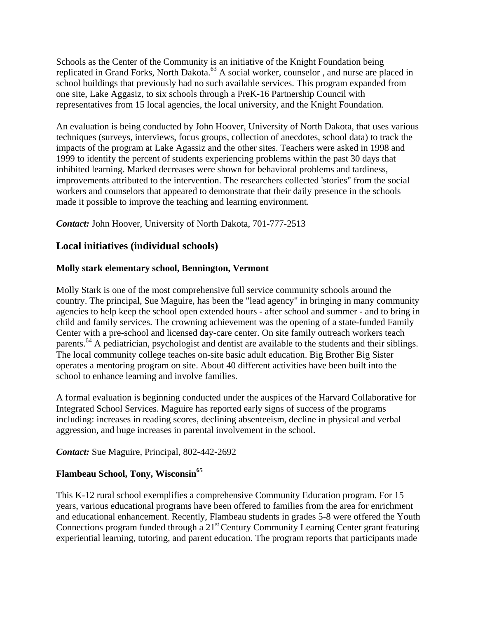Schools as the Center of the Community is an initiative of the Knight Foundation being replicated in Grand Forks, North Dakota.<sup>63</sup> A social worker, counselor, and nurse are placed in school buildings that previously had no such available services. This program expanded from one site, Lake Aggasiz, to six schools through a PreK-16 Partnership Council with representatives from 15 local agencies, the local university, and the Knight Foundation.

An evaluation is being conducted by John Hoover, University of North Dakota, that uses various techniques (surveys, interviews, focus groups, collection of anecdotes, school data) to track the impacts of the program at Lake Agassiz and the other sites. Teachers were asked in 1998 and 1999 to identify the percent of students experiencing problems within the past 30 days that inhibited learning. Marked decreases were shown for behavioral problems and tardiness, improvements attributed to the intervention. The researchers collected 'stories" from the social workers and counselors that appeared to demonstrate that their daily presence in the schools made it possible to improve the teaching and learning environment.

*Contact:* John Hoover, University of North Dakota, 701-777-2513

# **Local initiatives (individual schools)**

#### **Molly stark elementary school, Bennington, Vermont**

Molly Stark is one of the most comprehensive full service community schools around the country. The principal, Sue Maguire, has been the "lead agency" in bringing in many community agencies to help keep the school open extended hours - after school and summer - and to bring in child and family services. The crowning achievement was the opening of a state-funded Family Center with a pre-school and licensed day-care center. On site family outreach workers teach parents.<sup>64</sup> A pediatrician, psychologist and dentist are available to the students and their siblings. The local community college teaches on-site basic adult education. Big Brother Big Sister operates a mentoring program on site. About 40 different activities have been built into the school to enhance learning and involve families.

A formal evaluation is beginning conducted under the auspices of the Harvard Collaborative for Integrated School Services. Maguire has reported early signs of success of the programs including: increases in reading scores, declining absenteeism, decline in physical and verbal aggression, and huge increases in parental involvement in the school.

*Contact:* Sue Maguire, Principal, 802-442-2692

# **Flambeau School, Tony, Wisconsin65**

This K-12 rural school exemplifies a comprehensive Community Education program. For 15 years, various educational programs have been offered to families from the area for enrichment and educational enhancement. Recently, Flambeau students in grades 5-8 were offered the Youth Connections program funded through a 21<sup>st</sup> Century Community Learning Center grant featuring experiential learning, tutoring, and parent education. The program reports that participants made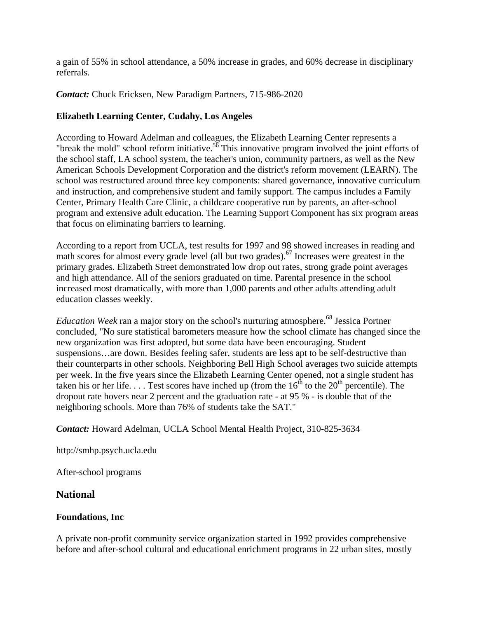a gain of 55% in school attendance, a 50% increase in grades, and 60% decrease in disciplinary referrals.

*Contact:* Chuck Ericksen, New Paradigm Partners, 715-986-2020

# **Elizabeth Learning Center, Cudahy, Los Angeles**

According to Howard Adelman and colleagues, the Elizabeth Learning Center represents a "break the mold" school reform initiative.<sup>56</sup> This innovative program involved the joint efforts of the school staff, LA school system, the teacher's union, community partners, as well as the New American Schools Development Corporation and the district's reform movement (LEARN). The school was restructured around three key components: shared governance, innovative curriculum and instruction, and comprehensive student and family support. The campus includes a Family Center, Primary Health Care Clinic, a childcare cooperative run by parents, an after-school program and extensive adult education. The Learning Support Component has six program areas that focus on eliminating barriers to learning.

According to a report from UCLA, test results for 1997 and 98 showed increases in reading and math scores for almost every grade level (all but two grades).<sup>67</sup> Increases were greatest in the primary grades. Elizabeth Street demonstrated low drop out rates, strong grade point averages and high attendance. All of the seniors graduated on time. Parental presence in the school increased most dramatically, with more than 1,000 parents and other adults attending adult education classes weekly.

*Education Week* ran a major story on the school's nurturing atmosphere.<sup>68</sup> Jessica Portner concluded, "No sure statistical barometers measure how the school climate has changed since the new organization was first adopted, but some data have been encouraging. Student suspensions…are down. Besides feeling safer, students are less apt to be self-destructive than their counterparts in other schools. Neighboring Bell High School averages two suicide attempts per week. In the five years since the Elizabeth Learning Center opened, not a single student has taken his or her life.  $\ldots$  Test scores have inched up (from the 16<sup>th</sup> to the 20<sup>th</sup> percentile). The dropout rate hovers near 2 percent and the graduation rate - at 95 % - is double that of the neighboring schools. More than 76% of students take the SAT."

*Contact:* Howard Adelman, UCLA School Mental Health Project, 310-825-3634

http://smhp.psych.ucla.edu

After-school programs

# **National**

# **Foundations, Inc**

A private non-profit community service organization started in 1992 provides comprehensive before and after-school cultural and educational enrichment programs in 22 urban sites, mostly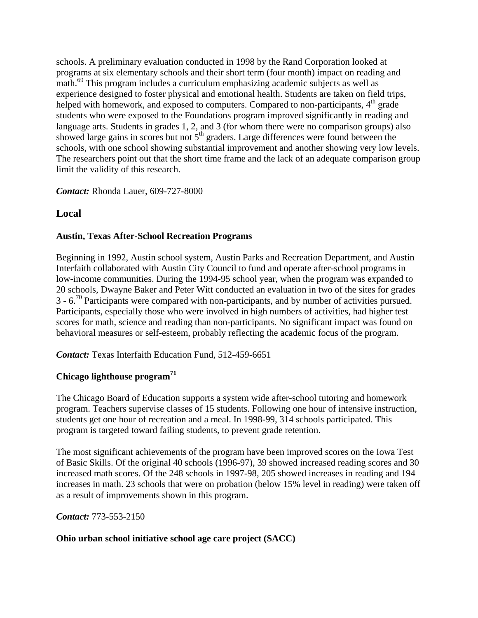schools. A preliminary evaluation conducted in 1998 by the Rand Corporation looked at programs at six elementary schools and their short term (four month) impact on reading and math.<sup>69</sup> This program includes a curriculum emphasizing academic subjects as well as experience designed to foster physical and emotional health. Students are taken on field trips, helped with homework, and exposed to computers. Compared to non-participants,  $4<sup>th</sup>$  grade students who were exposed to the Foundations program improved significantly in reading and language arts. Students in grades 1, 2, and 3 (for whom there were no comparison groups) also showed large gains in scores but not  $5<sup>th</sup>$  graders. Large differences were found between the schools, with one school showing substantial improvement and another showing very low levels. The researchers point out that the short time frame and the lack of an adequate comparison group limit the validity of this research.

# *Contact:* Rhonda Lauer, 609-727-8000

# **Local**

# **Austin, Texas After-School Recreation Programs**

Beginning in 1992, Austin school system, Austin Parks and Recreation Department, and Austin Interfaith collaborated with Austin City Council to fund and operate after-school programs in low-income communities. During the 1994-95 school year, when the program was expanded to 20 schools, Dwayne Baker and Peter Witt conducted an evaluation in two of the sites for grades  $3 - 6$ <sup>70</sup> Participants were compared with non-participants, and by number of activities pursued. Participants, especially those who were involved in high numbers of activities, had higher test scores for math, science and reading than non-participants. No significant impact was found on behavioral measures or self-esteem, probably reflecting the academic focus of the program.

*Contact:* Texas Interfaith Education Fund, 512-459-6651

# **Chicago lighthouse program<sup>71</sup>**

The Chicago Board of Education supports a system wide after-school tutoring and homework program. Teachers supervise classes of 15 students. Following one hour of intensive instruction, students get one hour of recreation and a meal. In 1998-99, 314 schools participated. This program is targeted toward failing students, to prevent grade retention.

The most significant achievements of the program have been improved scores on the Iowa Test of Basic Skills. Of the original 40 schools (1996-97), 39 showed increased reading scores and 30 increased math scores. Of the 248 schools in 1997-98, 205 showed increases in reading and 194 increases in math. 23 schools that were on probation (below 15% level in reading) were taken off as a result of improvements shown in this program.

*Contact:* 773-553-2150

# **Ohio urban school initiative school age care project (SACC)**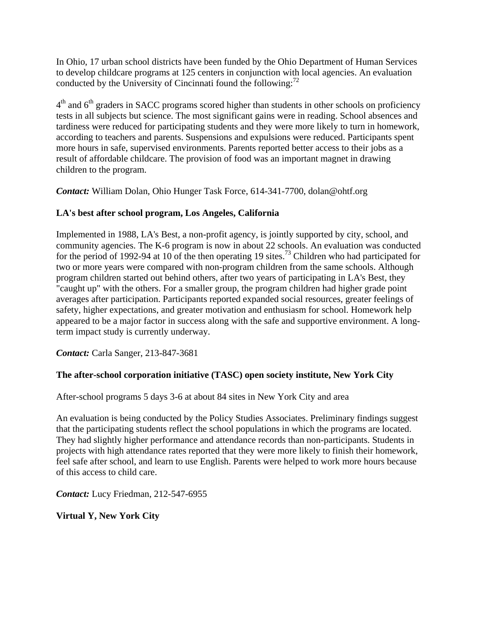In Ohio, 17 urban school districts have been funded by the Ohio Department of Human Services to develop childcare programs at 125 centers in conjunction with local agencies. An evaluation conducted by the University of Cincinnati found the following: $^{72}$ 

 $4<sup>th</sup>$  and  $6<sup>th</sup>$  graders in SACC programs scored higher than students in other schools on proficiency tests in all subjects but science. The most significant gains were in reading. School absences and tardiness were reduced for participating students and they were more likely to turn in homework, according to teachers and parents. Suspensions and expulsions were reduced. Participants spent more hours in safe, supervised environments. Parents reported better access to their jobs as a result of affordable childcare. The provision of food was an important magnet in drawing children to the program.

*Contact:* William Dolan, Ohio Hunger Task Force, 614-341-7700, dolan@ohtf.org

# **LA's best after school program, Los Angeles, California**

Implemented in 1988, LA's Best, a non-profit agency, is jointly supported by city, school, and community agencies. The K-6 program is now in about 22 schools. An evaluation was conducted for the period of 1992-94 at 10 of the then operating 19 sites.<sup>73</sup> Children who had participated for two or more years were compared with non-program children from the same schools. Although program children started out behind others, after two years of participating in LA's Best, they "caught up" with the others. For a smaller group, the program children had higher grade point averages after participation. Participants reported expanded social resources, greater feelings of safety, higher expectations, and greater motivation and enthusiasm for school. Homework help appeared to be a major factor in success along with the safe and supportive environment. A longterm impact study is currently underway.

*Contact:* Carla Sanger, 213-847-3681

# **The after-school corporation initiative (TASC) open society institute, New York City**

After-school programs 5 days 3-6 at about 84 sites in New York City and area

An evaluation is being conducted by the Policy Studies Associates. Preliminary findings suggest that the participating students reflect the school populations in which the programs are located. They had slightly higher performance and attendance records than non-participants. Students in projects with high attendance rates reported that they were more likely to finish their homework, feel safe after school, and learn to use English. Parents were helped to work more hours because of this access to child care.

*Contact:* Lucy Friedman, 212-547-6955

**Virtual Y, New York City**